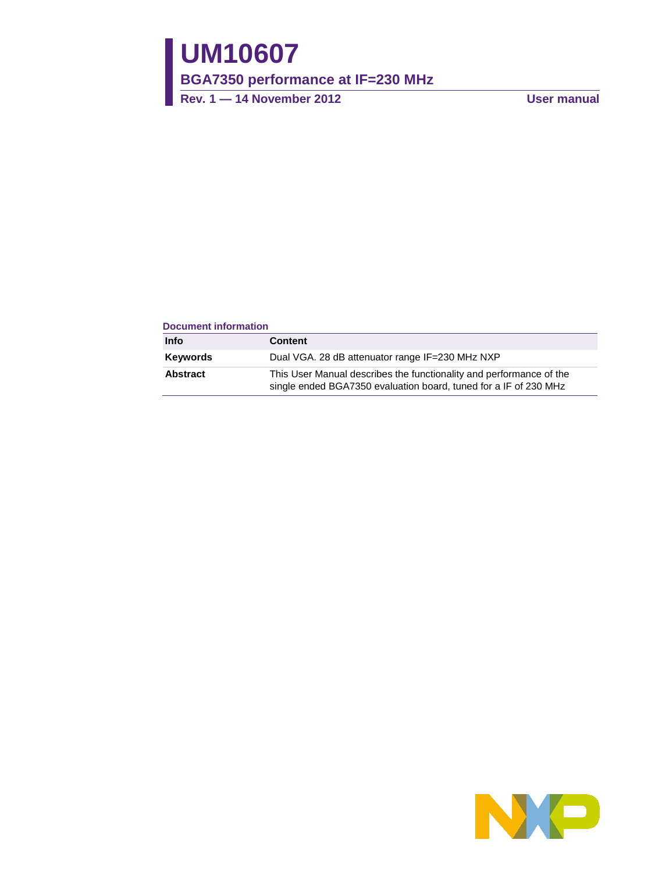# **UM10607**

**BGA7350 performance at IF=230 MHz**

**Rev. 1 — 14 November 2012 User manual**

#### **Document information**

| Info     | <b>Content</b>                                                                                                                          |
|----------|-----------------------------------------------------------------------------------------------------------------------------------------|
| Keywords | Dual VGA. 28 dB attenuator range IF=230 MHz NXP                                                                                         |
| Abstract | This User Manual describes the functionality and performance of the<br>single ended BGA7350 evaluation board, tuned for a IF of 230 MHz |

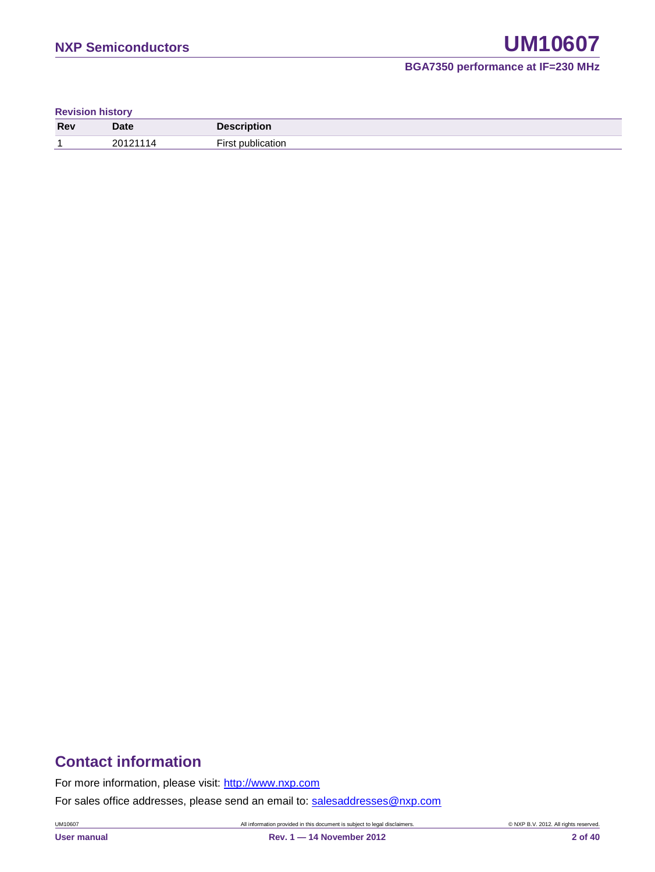**Revision history**

| <b>Rev</b> | <b>Date</b> | <b><i><u>Production</u></i></b><br>™≂cription |
|------------|-------------|-----------------------------------------------|
|            | 1011 אחר    |                                               |

# **Contact information**

For more information, please visit: [http://www.nxp.com](http://www.nxp.com/)

For sales office addresses, please send an email to: [salesaddresses@nxp.com](mailto:salesaddresses@nxp.com)

UM10607 All information provided in this document is subject to legal disclaimers. © NXP B.V. 2012. All rights reserved.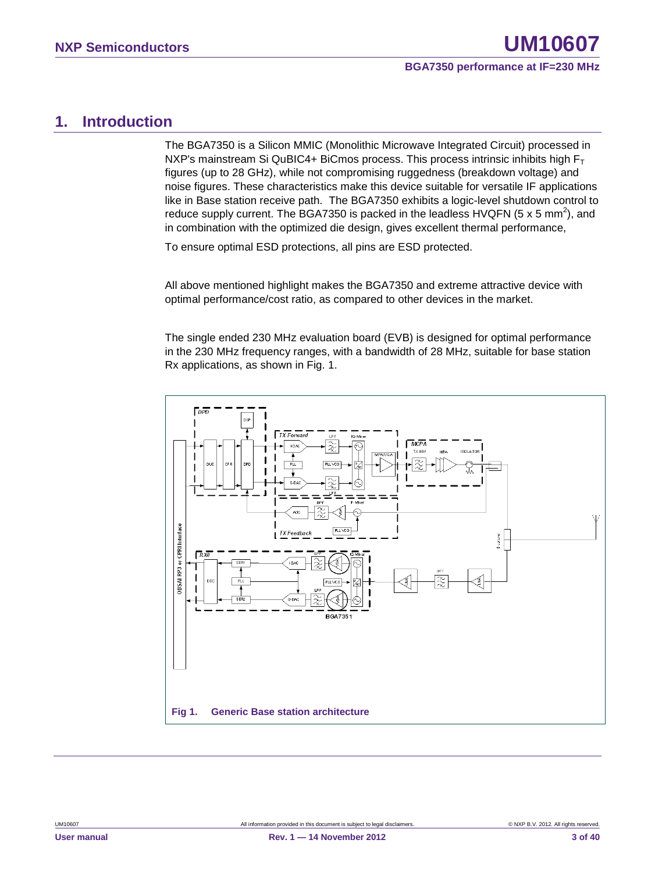### <span id="page-2-0"></span>**1. Introduction**

The BGA7350 is a Silicon MMIC (Monolithic Microwave Integrated Circuit) processed in NXP's mainstream Si QuBIC4+ BiCmos process. This process intrinsic inhibits high  $F_T$ figures (up to 28 GHz), while not compromising ruggedness (breakdown voltage) and noise figures. These characteristics make this device suitable for versatile IF applications like in Base station receive path. The BGA7350 exhibits a logic-level shutdown control to reduce supply current. The BGA7350 is packed in the leadless HVQFN (5 x 5 mm<sup>2</sup>), and in combination with the optimized die design, gives excellent thermal performance,

To ensure optimal ESD protections, all pins are ESD protected.

All above mentioned highlight makes the BGA7350 and extreme attractive device with optimal performance/cost ratio, as compared to other devices in the market.

The single ended 230 MHz evaluation board (EVB) is designed for optimal performance in the 230 MHz frequency ranges, with a bandwidth of 28 MHz, suitable for base station Rx applications, as shown in Fig. 1.

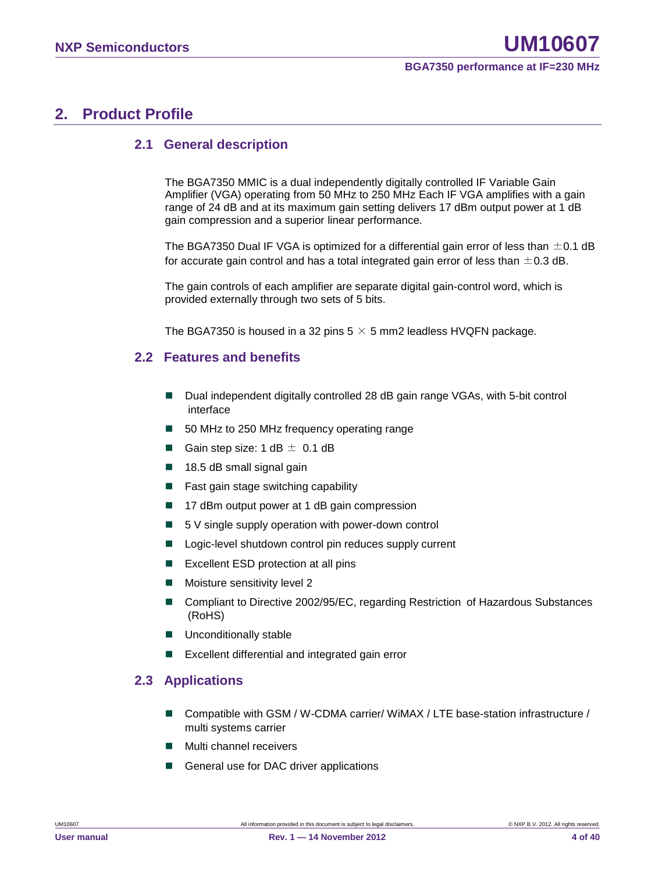# <span id="page-3-0"></span>**2. Product Profile**

#### <span id="page-3-1"></span>**2.1 General description**

The BGA7350 MMIC is a dual independently digitally controlled IF Variable Gain Amplifier (VGA) operating from 50 MHz to 250 MHz Each IF VGA amplifies with a gain range of 24 dB and at its maximum gain setting delivers 17 dBm output power at 1 dB gain compression and a superior linear performance.

The BGA7350 Dual IF VGA is optimized for a differential gain error of less than  $\pm$ 0.1 dB for accurate gain control and has a total integrated gain error of less than  $\pm$  0.3 dB.

The gain controls of each amplifier are separate digital gain-control word, which is provided externally through two sets of 5 bits.

<span id="page-3-2"></span>The BGA7350 is housed in a 32 pins  $5 \times 5$  mm2 leadless HVQFN package.

#### **2.2 Features and benefits**

- Dual independent digitally controlled 28 dB gain range VGAs, with 5-bit control interface
- 50 MHz to 250 MHz frequency operating range
- Gain step size:  $1 dB \pm 0.1 dB$
- $\blacksquare$  18.5 dB small signal gain
- Fast gain stage switching capability
- 17 dBm output power at 1 dB gain compression
- $\blacksquare$  5 V single supply operation with power-down control
- Logic-level shutdown control pin reduces supply current
- **EXCELLENT ESD protection at all pins**
- **Moisture sensitivity level 2**
- Compliant to Directive 2002/95/EC, regarding Restriction of Hazardous Substances (RoHS)
- **Unconditionally stable**
- <span id="page-3-3"></span>Excellent differential and integrated gain error

#### **2.3 Applications**

- Compatible with GSM / W-CDMA carrier/ WiMAX / LTE base-station infrastructure / multi systems carrier
- Multi channel receivers
- General use for DAC driver applications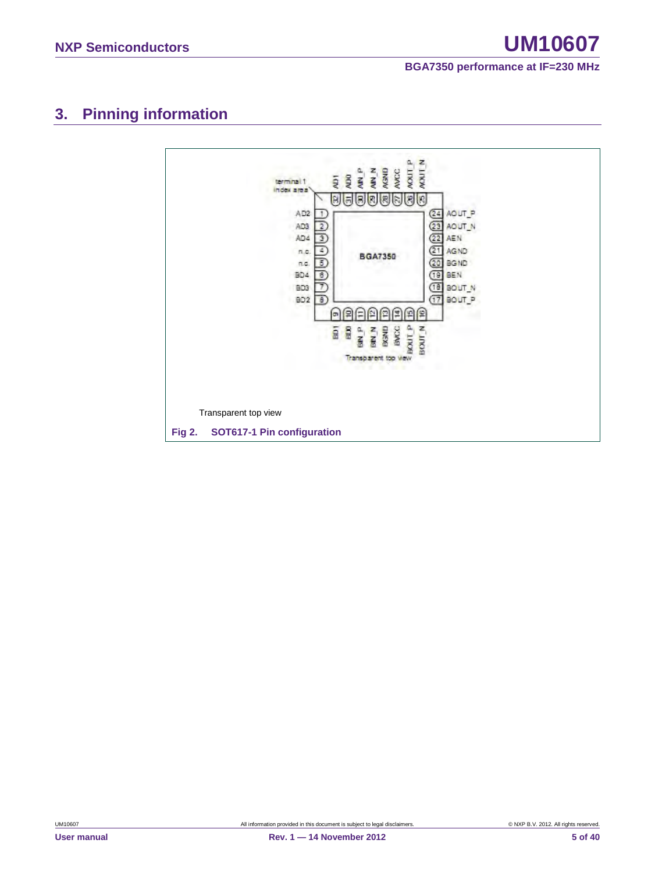# <span id="page-4-0"></span>**3. Pinning information**

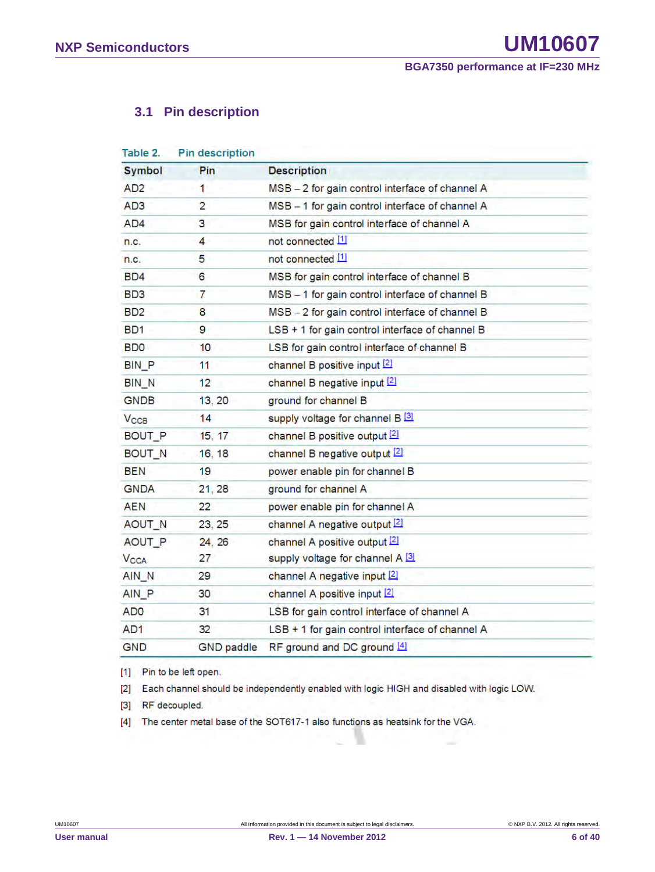## <span id="page-5-0"></span>**3.1 Pin description**

| Table 2.                    | Pin description   |                                                 |
|-----------------------------|-------------------|-------------------------------------------------|
| <b>Symbol</b>               | Pin               | <b>Description</b>                              |
| AD <sub>2</sub>             | 1                 | MSB - 2 for gain control interface of channel A |
| AD <sub>3</sub>             | $\overline{2}$    | MSB - 1 for gain control interface of channel A |
| AD4                         | 3                 | MSB for gain control interface of channel A     |
| n.c.                        | 4                 | not connected [1]                               |
| n.c.                        | 5                 | not connected [1]                               |
| BD4                         | 6                 | MSB for gain control interface of channel B     |
| BD3                         | 7                 | MSB - 1 for gain control interface of channel B |
| B <sub>D</sub> <sub>2</sub> | 8                 | MSB - 2 for gain control interface of channel B |
| BD1                         | 9                 | LSB + 1 for gain control interface of channel B |
| <b>BDO</b>                  | 10                | LSB for gain control interface of channel B     |
| <b>BIN P</b>                | 11                | channel B positive input [2]                    |
| <b>BIN N</b>                | 12                | channel B negative input [2]                    |
| <b>GNDB</b>                 | 13, 20            | ground for channel B                            |
| $V_{\text{CCB}}$            | 14                | supply voltage for channel B 3                  |
| BOUT_P                      | 15, 17            | channel B positive output [2]                   |
| BOUT_N                      | 16, 18            | channel B negative output [2]                   |
| BEN                         | 19                | power enable pin for channel B                  |
| <b>GNDA</b>                 | 21, 28            | ground for channel A                            |
| <b>AEN</b>                  | 22                | power enable pin for channel A                  |
| AOUT N                      | 23, 25            | channel A negative output 2                     |
| AOUT_P                      | 24, 26            | channel A positive output [2]                   |
| <b>V<sub>CCA</sub></b>      | 27                | supply voltage for channel A [3]                |
| AIN_N                       | 29                | channel A negative input [2]                    |
| AIN P                       | 30                | channel A positive input [2]                    |
| AD <sub>0</sub>             | 31                | LSB for gain control interface of channel A     |
| AD <sub>1</sub>             | 32                | LSB + 1 for gain control interface of channel A |
| <b>GND</b>                  | <b>GND</b> paddle | RF ground and DC ground [4]                     |

[1] Pin to be left open.

[2] Each channel should be independently enabled with logic HIGH and disabled with logic LOW.

[3] RF decoupled.

[4] The center metal base of the SOT617-1 also functions as heatsink for the VGA.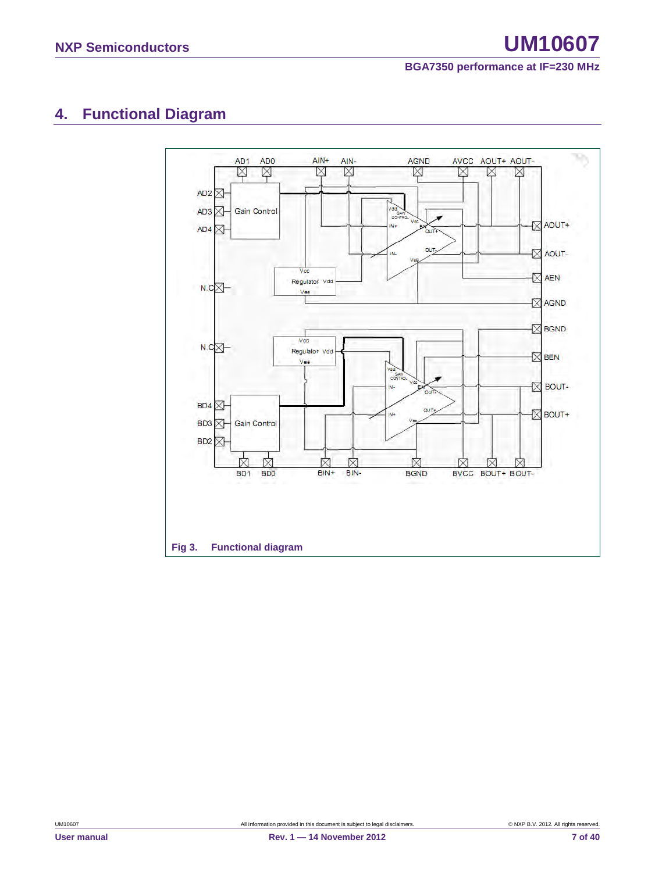# <span id="page-6-0"></span>**4. Functional Diagram**

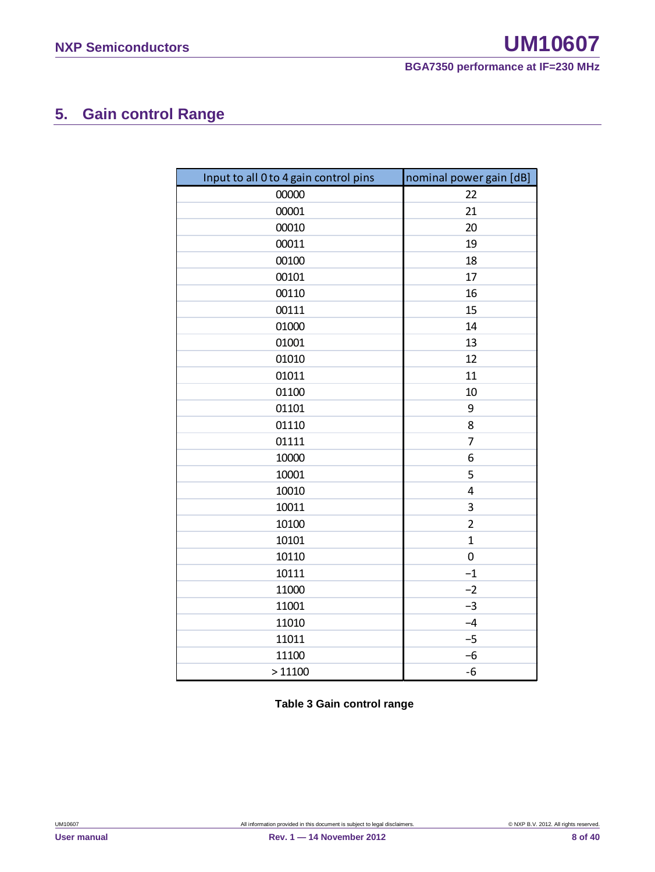# <span id="page-7-0"></span>**5. Gain control Range**

| Input to all 0 to 4 gain control pins | nominal power gain [dB] |
|---------------------------------------|-------------------------|
| 00000                                 | 22                      |
| 00001                                 | 21                      |
| 00010                                 | 20                      |
| 00011                                 | 19                      |
| 00100                                 | 18                      |
| 00101                                 | 17                      |
| 00110                                 | 16                      |
| 00111                                 | 15                      |
| 01000                                 | 14                      |
| 01001                                 | 13                      |
| 01010                                 | 12                      |
| 01011                                 | 11                      |
| 01100                                 | 10                      |
| 01101                                 | 9                       |
| 01110                                 | 8                       |
| 01111                                 | 7                       |
| 10000                                 | 6                       |
| 10001                                 | 5                       |
| 10010                                 | $\overline{4}$          |
| 10011                                 | 3                       |
| 10100                                 | $\overline{2}$          |
| 10101                                 | $\mathbf{1}$            |
| 10110                                 | $\boldsymbol{0}$        |
| 10111                                 | $-1$                    |
| 11000                                 | $-2$                    |
| 11001                                 | $-3$                    |
| 11010                                 | $-4$                    |
| 11011                                 | $-5$                    |
| 11100                                 | $-6$                    |
| >11100                                | $-6$                    |

**Table 3 Gain control range**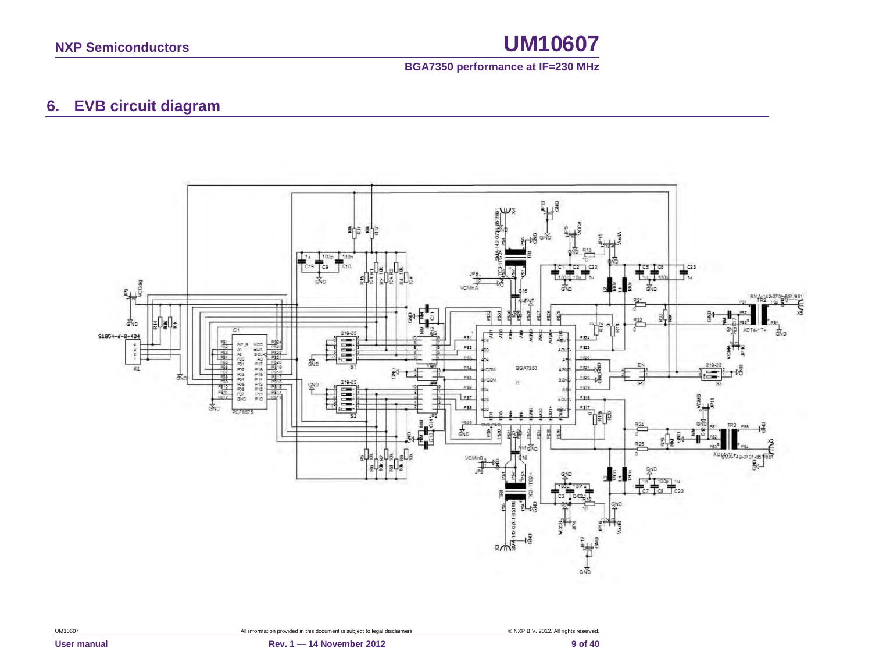

# **6. EVB circuit diagram**

<span id="page-8-0"></span>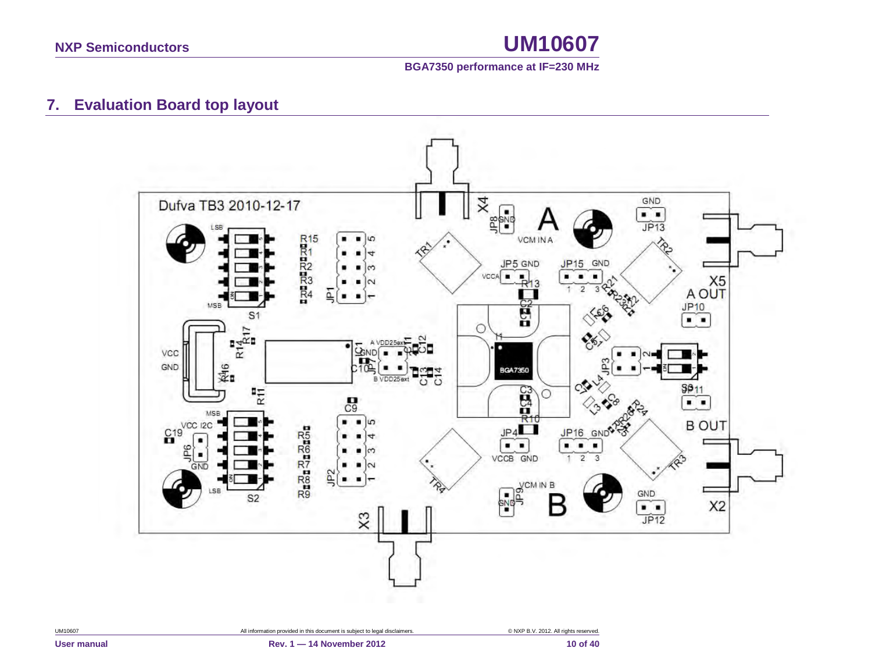

# **7. Evaluation Board top layout**

<span id="page-9-0"></span>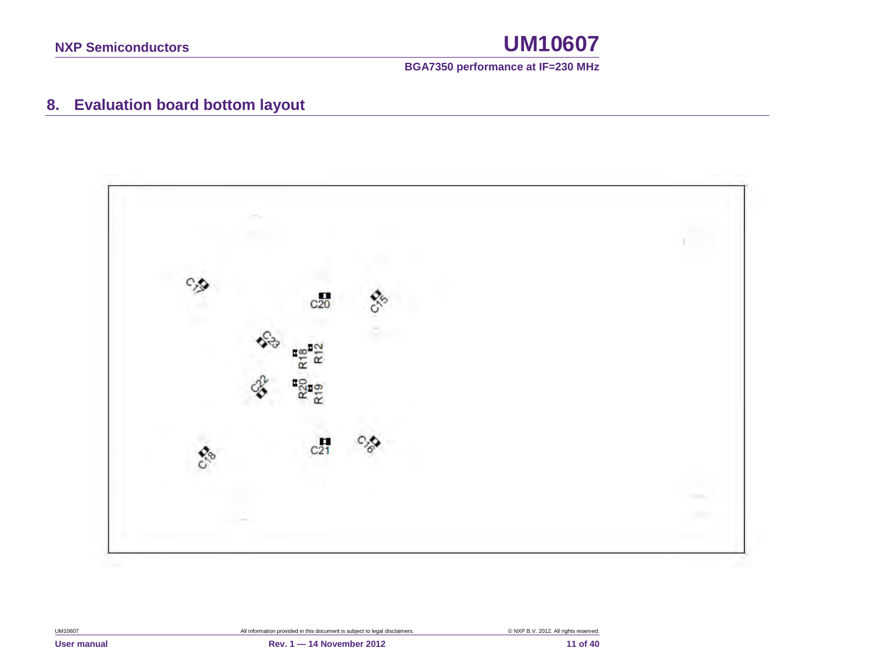

# **8. Evaluation board bottom layout**

<span id="page-10-0"></span>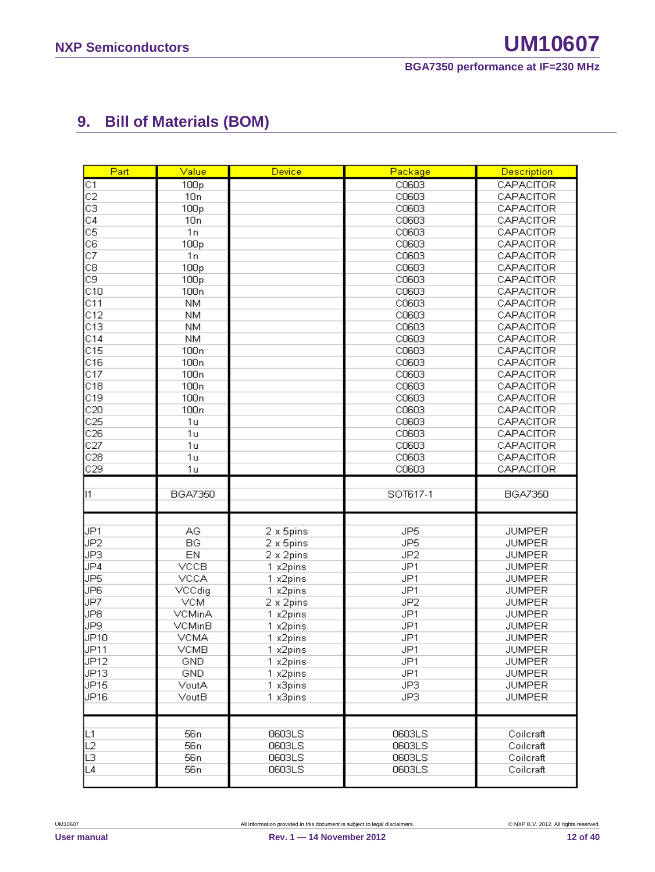# <span id="page-11-0"></span>**9. Bill of Materials (BOM)**

| Part                                     | Value                              | Device           | Package          | <b>Description</b>     |
|------------------------------------------|------------------------------------|------------------|------------------|------------------------|
| C1                                       | 100p                               |                  | C0603            | CAPACITOR              |
| $\overline{c}$                           | 10n                                |                  | C0603            | CAPACITOR              |
| cз                                       | 100p                               |                  | C0603            | CAPACITOR              |
| C4                                       | 10n                                |                  | C0603            | CAPACITOR              |
| $\overline{\text{c}}\overline{\text{s}}$ | 1n                                 |                  | C0603            | CAPACITOR              |
| C6                                       | 100p                               |                  | C0603            | CAPACITOR              |
| $\overline{\text{c7}}$                   | 1n                                 |                  | C0603            | CAPACITOR              |
| C8                                       | 100 <sub>p</sub>                   |                  | C0603            | CAPACITOR              |
| C9                                       | 100p                               |                  | C0603            | CAPACITOR              |
| C10                                      | 100 <sub>n</sub>                   |                  | C0603            | CAPACITOR              |
| C11                                      | <b>NM</b>                          |                  | C0603            | CAPACITOR              |
| C12                                      | <b>NM</b>                          |                  | C0603            | CAPACITOR              |
| C13                                      | <b>NM</b>                          |                  | C0603            | CAPACITOR              |
| C14                                      | <b>NM</b>                          |                  | C0603            | CAPACITOR              |
| C15                                      | 100 <sub>n</sub>                   |                  | C0603            | CAPACITOR              |
| C16                                      | 100n                               |                  | C0603            | CAPACITOR              |
| C17                                      | 100 <sub>n</sub>                   |                  | C0603            | CAPACITOR              |
| C18                                      | 100 <sub>n</sub>                   |                  | C0603            | CAPACITOR              |
| C19                                      | 100 <sub>n</sub>                   |                  | C0603            | CAPACITOR              |
| C20                                      | 100 <sub>n</sub>                   |                  | C0603            | CAPACITOR              |
| C <sub>25</sub>                          | 1 <sub>u</sub>                     |                  | C0603            | CAPACITOR              |
| C26                                      | 1 <sub>u</sub>                     |                  | C0603            | CAPACITOR              |
| C27                                      | 1 <sub>u</sub>                     |                  | C0603            | CAPACITOR              |
| C28                                      | 1 <sub>u</sub>                     |                  | C0603            | CAPACITOR              |
| C29                                      | 1 <sub>u</sub>                     |                  | C0603            | CAPACITOR              |
|                                          |                                    |                  |                  |                        |
|                                          |                                    |                  |                  |                        |
| 11                                       | <b>BGA7350</b>                     |                  | SOT617-1         | BGA7350                |
|                                          |                                    |                  |                  |                        |
|                                          |                                    |                  |                  |                        |
| JP1                                      | AG                                 | 2 x 5pins        | JP <sub>5</sub>  | <b>JUMPER</b>          |
| JP2                                      | BG                                 | 2 x 5pins        | JP <sub>5</sub>  | <b>JUMPER</b>          |
| JP3                                      | EN                                 | 2 x 2pins        | JP <sub>2</sub>  | <b>JUMPER</b>          |
| JP4                                      | <b>VCCB</b>                        | 1 x2pins         | JP1              | <b>JUMPER</b>          |
| JP5                                      | VCCA                               | 1 x2pins         | JP1              | <b>JUMPER</b>          |
| JP6                                      | VCCdig                             | 1 x2pins         | JP1              | <b>JUMPER</b>          |
| JP7                                      | <b>VCM</b>                         | 2 x 2pins        | JP <sub>2</sub>  | <b>JUMPER</b>          |
| JP8                                      | VCMinA                             | 1 x2pins         | JP1              | <b>JUMPER</b>          |
| JP9                                      | VCMinB                             | 1 x2pins         | JP1              | <b>JUMPER</b>          |
| <b>JP10</b>                              | <b>VCMA</b>                        | 1 x2pins         | JP1              | <b>JUMPER</b>          |
| JP11                                     | <b>VCMB</b>                        | 1 x2pins         | JP1              | <b>JUMPER</b>          |
| JP12                                     | GND                                | 1 x2pins         | JP1              | <b>JUMPER</b>          |
| JP <sub>13</sub>                         | GND                                | 1 x2pins         | JP1              | <b>JUMPER</b>          |
| JP <sub>15</sub>                         | VoutA                              | 1 x3pins         | JP3              | <b>JUMPER</b>          |
| JP16                                     | VoutB                              | 1 x3pins         | JP3              | <b>JUMPER</b>          |
|                                          |                                    |                  |                  |                        |
|                                          |                                    |                  |                  | Coilcraft              |
| ∣L1                                      | 56 n<br>56 <sub>n</sub>            | 0603LS<br>0603LS | 0603LS           | Coilcraft              |
| L2                                       |                                    | 0603LS           | 0603LS           |                        |
| L3<br>L4                                 | 56 <sub>n</sub><br>56 <sub>n</sub> | 0603LS           | 0603LS<br>0603LS | Coilcraft<br>Coilcraft |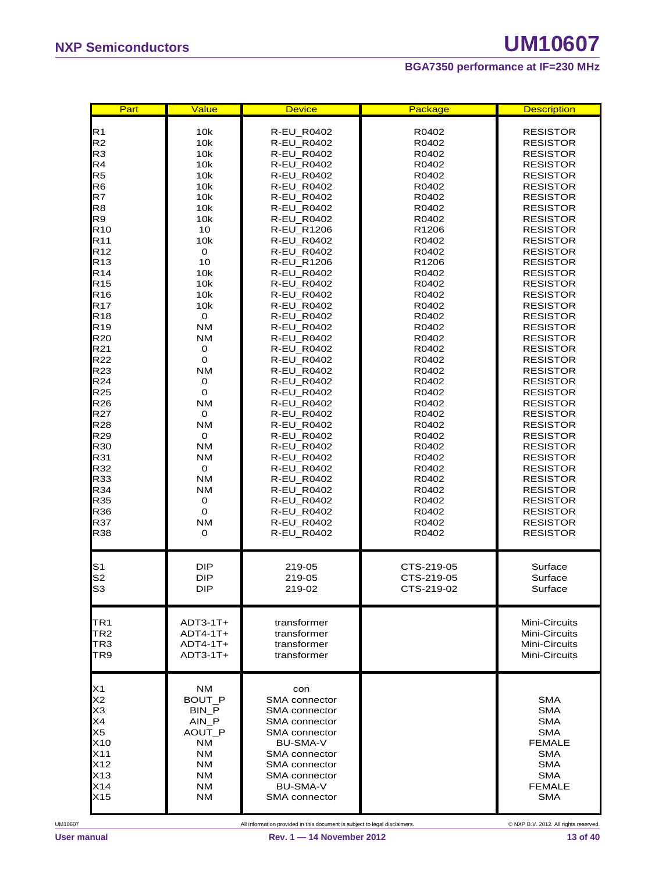| Part                                                                                                                                                                                                                                                                                                                                                                                                                                                                                                | Value                                                                                                                                                                                                                                                                                         | <b>Device</b>                                                                                                                                                                                                                                                                                                                                                                                                                                                                                                                                    | Package                                                                                                                                                                                                                                                                                                                       | <b>Description</b>                                                                                                                                                                                                                                                                                                                                                                                                                                                                                                                                                                                                                              |
|-----------------------------------------------------------------------------------------------------------------------------------------------------------------------------------------------------------------------------------------------------------------------------------------------------------------------------------------------------------------------------------------------------------------------------------------------------------------------------------------------------|-----------------------------------------------------------------------------------------------------------------------------------------------------------------------------------------------------------------------------------------------------------------------------------------------|--------------------------------------------------------------------------------------------------------------------------------------------------------------------------------------------------------------------------------------------------------------------------------------------------------------------------------------------------------------------------------------------------------------------------------------------------------------------------------------------------------------------------------------------------|-------------------------------------------------------------------------------------------------------------------------------------------------------------------------------------------------------------------------------------------------------------------------------------------------------------------------------|-------------------------------------------------------------------------------------------------------------------------------------------------------------------------------------------------------------------------------------------------------------------------------------------------------------------------------------------------------------------------------------------------------------------------------------------------------------------------------------------------------------------------------------------------------------------------------------------------------------------------------------------------|
| R <sub>1</sub><br>R <sub>2</sub><br>R <sub>3</sub><br>R <sub>4</sub><br>R <sub>5</sub><br>R <sub>6</sub><br>R7<br>R <sub>8</sub><br>R <sub>9</sub><br>R <sub>10</sub><br>R <sub>11</sub><br>R <sub>12</sub><br>R <sub>13</sub><br>R <sub>14</sub><br>R <sub>15</sub><br>R <sub>16</sub><br><b>R17</b><br>R <sub>18</sub><br>R <sub>19</sub><br><b>R20</b><br>R21<br><b>R22</b><br>R23<br>R <sub>24</sub><br><b>R25</b><br><b>R26</b><br><b>R27</b><br><b>R28</b><br>R29<br>R30<br>R31<br>R32<br>R33 | 10k<br>10k<br>10k<br>10k<br>10k<br>10k<br>10k<br>10k<br>10k<br>10<br>10k<br>0<br>10<br>10k<br>10k<br>10k<br>10k<br>$\mathbf 0$<br><b>NM</b><br><b>NM</b><br>0<br>0<br><b>NM</b><br>0<br>0<br><b>NM</b><br>0<br><b>NM</b><br>$\mathbf 0$<br><b>NM</b><br><b>NM</b><br>$\mathbf 0$<br><b>NM</b> | R-EU_R0402<br><b>R-EU R0402</b><br>R-EU_R0402<br>R-EU_R0402<br>R-EU_R0402<br>R-EU_R0402<br>R-EU_R0402<br>R-EU_R0402<br><b>R-EU R0402</b><br>R-EU_R1206<br>R-EU_R0402<br>R-EU_R0402<br><b>R-EU R1206</b><br>R-EU_R0402<br><b>R-EU R0402</b><br><b>R-EU R0402</b><br>R-EU_R0402<br>R-EU_R0402<br>R-EU_R0402<br>R-EU_R0402<br><b>R-EU R0402</b><br>R-EU_R0402<br>R-EU_R0402<br><b>R-EU R0402</b><br>R-EU_R0402<br><b>R-EU R0402</b><br><b>R-EU R0402</b><br>R-EU_R0402<br>R-EU_R0402<br><b>R-EU R0402</b><br>R-EU_R0402<br>R-EU_R0402<br>R-EU_R0402 | R0402<br>R0402<br>R0402<br>R0402<br>R0402<br>R0402<br>R0402<br>R0402<br>R0402<br>R <sub>1206</sub><br>R0402<br>R0402<br>R <sub>1206</sub><br>R0402<br>R0402<br>R0402<br>R0402<br>R0402<br>R0402<br>R0402<br>R0402<br>R0402<br>R0402<br>R0402<br>R0402<br>R0402<br>R0402<br>R0402<br>R0402<br>R0402<br>R0402<br>R0402<br>R0402 | <b>RESISTOR</b><br><b>RESISTOR</b><br><b>RESISTOR</b><br><b>RESISTOR</b><br><b>RESISTOR</b><br><b>RESISTOR</b><br><b>RESISTOR</b><br><b>RESISTOR</b><br><b>RESISTOR</b><br><b>RESISTOR</b><br><b>RESISTOR</b><br><b>RESISTOR</b><br><b>RESISTOR</b><br><b>RESISTOR</b><br><b>RESISTOR</b><br><b>RESISTOR</b><br><b>RESISTOR</b><br><b>RESISTOR</b><br><b>RESISTOR</b><br><b>RESISTOR</b><br><b>RESISTOR</b><br><b>RESISTOR</b><br><b>RESISTOR</b><br><b>RESISTOR</b><br><b>RESISTOR</b><br><b>RESISTOR</b><br><b>RESISTOR</b><br><b>RESISTOR</b><br><b>RESISTOR</b><br><b>RESISTOR</b><br><b>RESISTOR</b><br><b>RESISTOR</b><br><b>RESISTOR</b> |
| R35<br>R36<br>R37<br><b>R38</b><br>S <sub>1</sub><br>S <sub>2</sub>                                                                                                                                                                                                                                                                                                                                                                                                                                 | 0<br>0<br><b>NM</b><br>0<br><b>DIP</b><br><b>DIP</b>                                                                                                                                                                                                                                          | R-EU_R0402<br>R-EU_R0402<br>R-EU_R0402<br>R-EU_R0402<br>R-EU_R0402<br>219-05<br>219-05                                                                                                                                                                                                                                                                                                                                                                                                                                                           | R0402<br>R0402<br>R0402<br>R0402<br>CTS-219-05<br>CTS-219-05                                                                                                                                                                                                                                                                  | <b>RESISTOR</b><br><b>RESISTOR</b><br><b>RESISTOR</b><br>RESISTOR<br>Surface<br>Surface                                                                                                                                                                                                                                                                                                                                                                                                                                                                                                                                                         |
| S <sub>3</sub><br>TR <sub>1</sub><br>TR2<br>TR <sub>3</sub><br>TR9                                                                                                                                                                                                                                                                                                                                                                                                                                  | <b>DIP</b><br>$ADT3-1T+$<br>$ADT4-1T+$<br>$ADT4-1T+$<br>$ADT3-1T+$                                                                                                                                                                                                                            | 219-02<br>transformer<br>transformer<br>transformer<br>transformer                                                                                                                                                                                                                                                                                                                                                                                                                                                                               | CTS-219-02                                                                                                                                                                                                                                                                                                                    | Surface<br>Mini-Circuits<br>Mini-Circuits<br>Mini-Circuits<br>Mini-Circuits                                                                                                                                                                                                                                                                                                                                                                                                                                                                                                                                                                     |
| X1<br>X <sub>2</sub><br>X <sub>3</sub><br>X4<br>X <sub>5</sub><br>X10<br>X11<br>X12<br>X13<br>X14<br>X15                                                                                                                                                                                                                                                                                                                                                                                            | NM<br>BOUT P<br>BIN P<br>$AIN$ $P$<br>AOUT P<br>NM<br>NM.<br>NM<br>NM.<br>NM.<br>NM.                                                                                                                                                                                                          | con<br>SMA connector<br>SMA connector<br><b>SMA</b> connector<br>SMA connector<br>BU-SMA-V<br><b>SMA</b> connector<br>SMA connector<br>SMA connector<br><b>BU-SMA-V</b><br>SMA connector                                                                                                                                                                                                                                                                                                                                                         |                                                                                                                                                                                                                                                                                                                               | <b>SMA</b><br><b>SMA</b><br><b>SMA</b><br><b>SMA</b><br><b>FEMALE</b><br><b>SMA</b><br><b>SMA</b><br><b>SMA</b><br><b>FEMALE</b><br><b>SMA</b>                                                                                                                                                                                                                                                                                                                                                                                                                                                                                                  |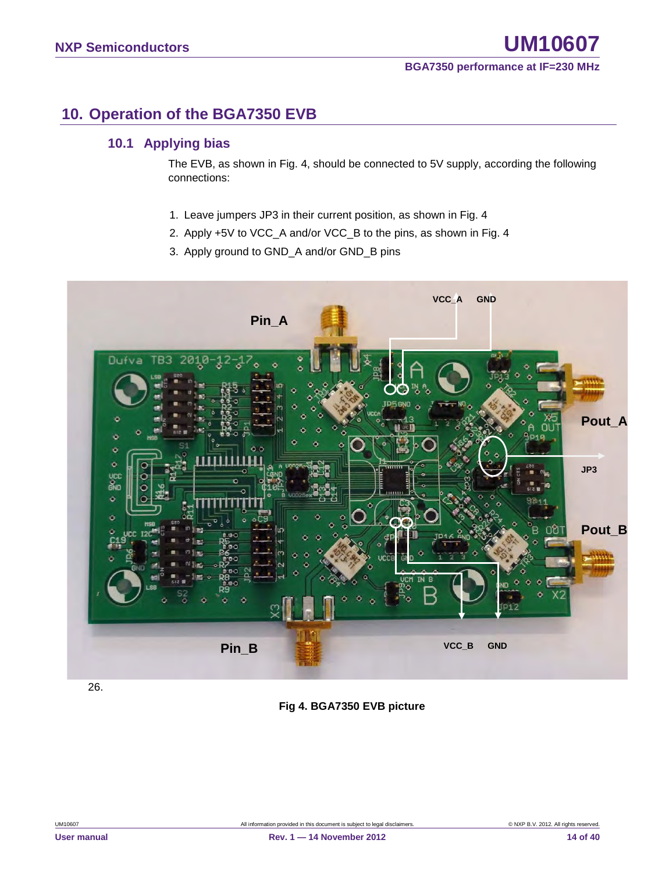# <span id="page-13-0"></span>**10. Operation of the BGA7350 EVB**

## <span id="page-13-1"></span>**10.1 Applying bias**

The EVB, as shown in Fig. 4, should be connected to 5V supply, according the following connections:

- 1. Leave jumpers JP3 in their current position, as shown in Fig. 4
- 2. Apply +5V to VCC\_A and/or VCC\_B to the pins, as shown in Fig. 4
- 3. Apply ground to GND\_A and/or GND\_B pins



26.

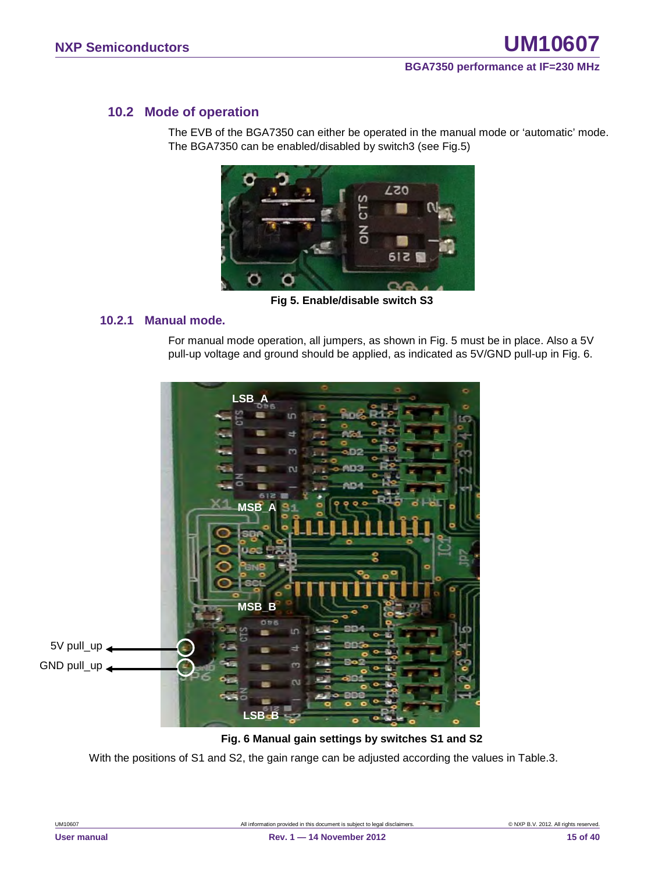## <span id="page-14-0"></span>**10.2 Mode of operation**

The EVB of the BGA7350 can either be operated in the manual mode or 'automatic' mode. The BGA7350 can be enabled/disabled by switch3 (see Fig.5)



**Fig 5. Enable/disable switch S3**

#### <span id="page-14-1"></span>**10.2.1 Manual mode.**

For manual mode operation, all jumpers, as shown in Fig. 5 must be in place. Also a 5V pull-up voltage and ground should be applied, as indicated as 5V/GND pull-up in Fig. 6.



#### **Fig. 6 Manual gain settings by switches S1 and S2**

With the positions of S1 and S2, the gain range can be adjusted according the values in Table.3.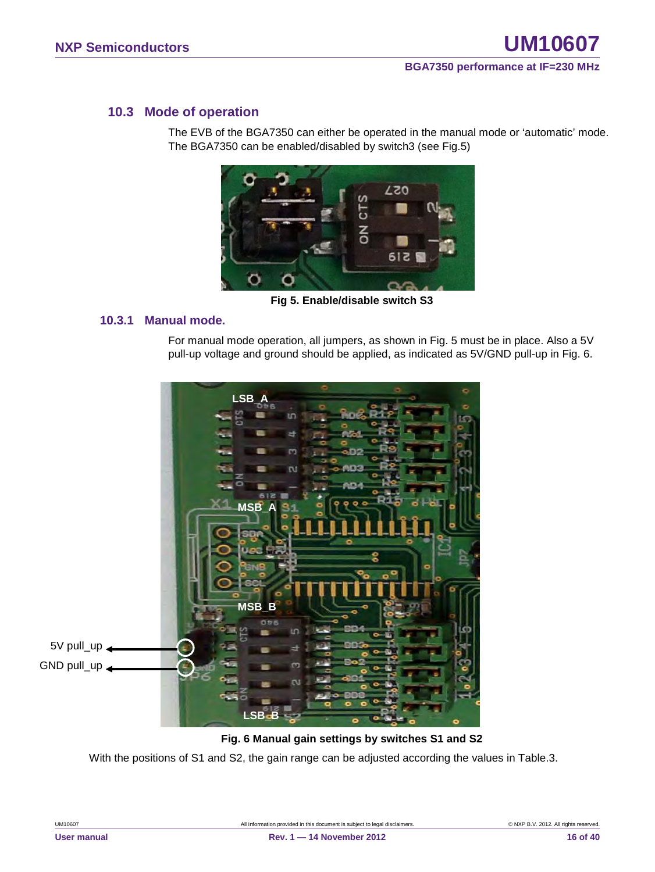### <span id="page-15-0"></span>**10.3 Mode of operation**

The EVB of the BGA7350 can either be operated in the manual mode or 'automatic' mode. The BGA7350 can be enabled/disabled by switch3 (see Fig.5)



**Fig 5. Enable/disable switch S3**

#### <span id="page-15-1"></span>**10.3.1 Manual mode.**

For manual mode operation, all jumpers, as shown in Fig. 5 must be in place. Also a 5V pull-up voltage and ground should be applied, as indicated as 5V/GND pull-up in Fig. 6.



#### **Fig. 6 Manual gain settings by switches S1 and S2**

With the positions of S1 and S2, the gain range can be adjusted according the values in Table.3.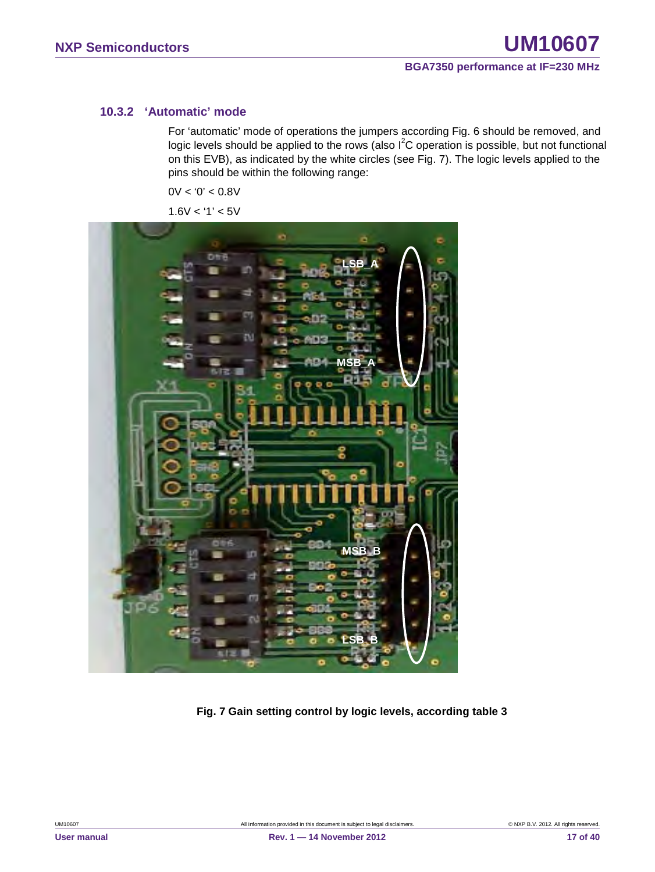#### <span id="page-16-0"></span>**10.3.2 'Automatic' mode**

For 'automatic' mode of operations the jumpers according Fig. 6 should be removed, and logic levels should be applied to the rows (also  $I^2C$  operation is possible, but not functional on this EVB), as indicated by the white circles (see Fig. 7). The logic levels applied to the pins should be within the following range:

 $0V < 0' < 0.8V$ 

 $1.6V < '1' < 5V$ 



**Fig. 7 Gain setting control by logic levels, according table 3**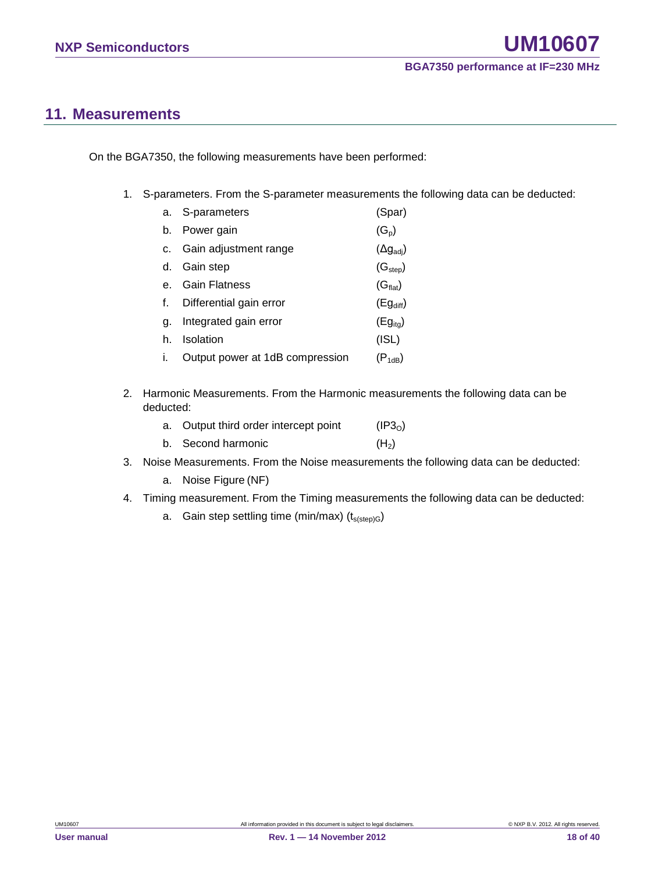# <span id="page-17-0"></span>**11. Measurements**

On the BGA7350, the following measurements have been performed:

1. S-parameters. From the S-parameter measurements the following data can be deducted:

|    | a. S-parameters                 | (Spar)                    |
|----|---------------------------------|---------------------------|
| b. | Power gain                      | $(G_p)$                   |
| C. | Gain adjustment range           | $(\Delta g_{\text{adj}})$ |
| d. | Gain step                       | (G <sub>step</sub> )      |
|    | <b>Gain Flatness</b>            | (G <sub>flat</sub> )      |
|    | Differential gain error         | $(Eg_{diff})$             |
| α. | Integrated gain error           | $(Eg_{ita})$              |
| h. | Isolation                       | (ISL)                     |
|    | Output power at 1dB compression | $(P_{1dB})$               |

2. Harmonic Measurements. From the Harmonic measurements the following data can be deducted:

| a. Output third order intercept point | (IP3 <sub>0</sub> ) |
|---------------------------------------|---------------------|
| b. Second harmonic                    | (H <sub>2</sub> )   |

- 3. Noise Measurements. From the Noise measurements the following data can be deducted:
	- a. Noise Figure (NF)
- 4. Timing measurement. From the Timing measurements the following data can be deducted:
	- a. Gain step settling time (min/max)  $(t_{s(sep)G})$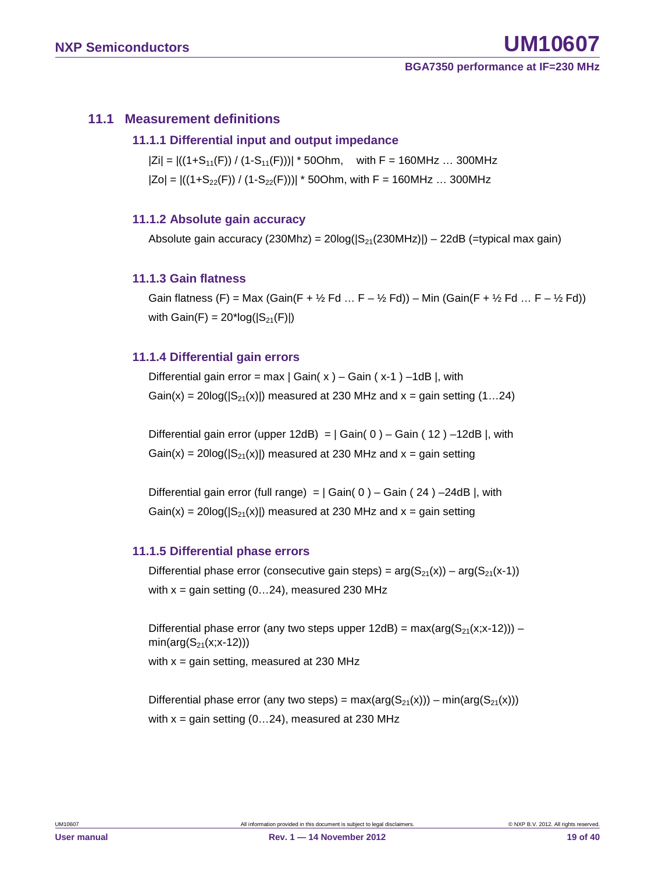#### <span id="page-18-1"></span><span id="page-18-0"></span>**11.1 Measurement definitions**

#### **11.1.1 Differential input and output impedance**

 $|Zi| = |((1+S_{11}(F)) / (1-S_{11}(F)))| * 50Ohm$ , with F = 160MHz ... 300MHz  $|Zo| = |((1+S_{22}(F)) / (1-S_{22}(F)))| * 50Ohm$ , with F = 160MHz ... 300MHz

#### <span id="page-18-2"></span>**11.1.2 Absolute gain accuracy**

Absolute gain accuracy  $(230Mhz) = 20log(|S_{21}(230MHz)|) - 22dB$  (=typical max gain)

#### <span id="page-18-3"></span>**11.1.3 Gain flatness**

Gain flatness (F) = Max (Gain(F +  $\frac{1}{2}$  Fd ... F –  $\frac{1}{2}$  Fd)) – Min (Gain(F +  $\frac{1}{2}$  Fd ... F –  $\frac{1}{2}$  Fd)) with  $Gain(F) = 20*log(|S_{21}(F)|)$ 

#### <span id="page-18-4"></span>**11.1.4 Differential gain errors**

Differential gain error = max  $|$  Gain( x  $)$  – Gain (x-1) –1dB |, with Gain(x) =  $20\log(|S_{21}(x)|)$  measured at 230 MHz and x = gain setting (1...24)

Differential gain error (upper 12dB) =  $|$  Gain( 0 ) – Gain ( 12 ) –12dB |, with  $Gain(x) = 20log(|S_{21}(x)|)$  measured at 230 MHz and  $x = gain$  setting

Differential gain error (full range) =  $|$  Gain( 0 ) – Gain ( 24 ) –24dB |, with  $Gain(x) = 20log(|S_{21}(x)|)$  measured at 230 MHz and  $x = gain$  setting

#### <span id="page-18-5"></span>**11.1.5 Differential phase errors**

Differential phase error (consecutive gain steps) =  $arg(S_{21}(x)) - arg(S_{21}(x-1))$ with  $x =$  gain setting (0...24), measured 230 MHz

Differential phase error (any two steps upper  $12dB$ ) = max(arg( $S_{21}(x;x-12)$ )) –  $min(arg(S_{21}(x; x-12)))$ with  $x =$  gain setting, measured at 230 MHz

Differential phase error (any two steps) =  $max(arg(S_{21}(x))) - min(arg(S_{21}(x)))$ with  $x =$  gain setting (0...24), measured at 230 MHz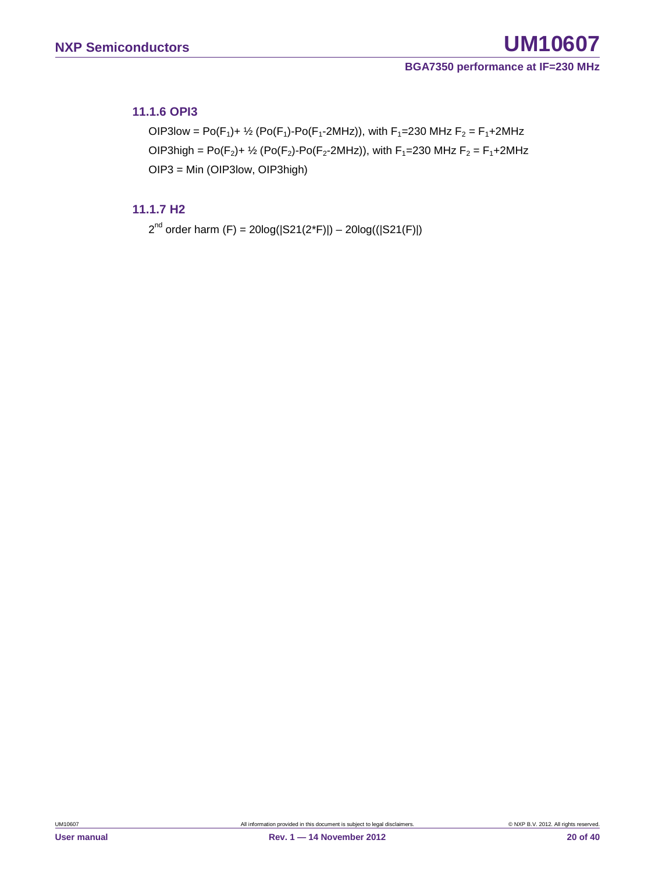#### <span id="page-19-0"></span>**11.1.6 OPI3**

OIP3low = Po(F<sub>1</sub>)+ <sup>1</sup>/<sub>2</sub> (Po(F<sub>1</sub>)-Po(F<sub>1</sub>-2MHz)), with F<sub>1</sub>=230 MHz F<sub>2</sub> = F<sub>1</sub>+2MHz OIP3high = Po( $F_2$ )+  $\frac{1}{2}$  (Po( $F_2$ )-Po( $F_2$ -2MHz)), with  $F_1$ =230 MHz  $F_2 = F_1 + 2M$ Hz OIP3 = Min (OIP3low, OIP3high)

#### <span id="page-19-1"></span>**11.1.7 H2**

 $2^{nd}$  order harm (F) = 20log( $|S21(2<sup>*</sup>F)|$ ) – 20log( $(|S21(F)|)$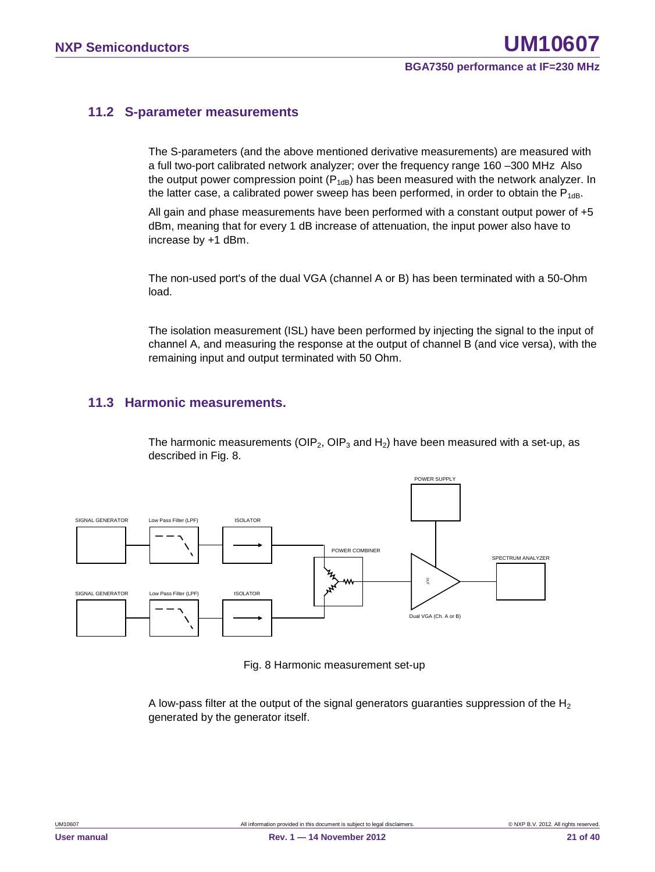#### <span id="page-20-0"></span>**11.2 S-parameter measurements**

The S-parameters (and the above mentioned derivative measurements) are measured with a full two-port calibrated network analyzer; over the frequency range 160 –300 MHz Also the output power compression point  $(P_{1dB})$  has been measured with the network analyzer. In the latter case, a calibrated power sweep has been performed, in order to obtain the  $P_{1dB}$ .

All gain and phase measurements have been performed with a constant output power of +5 dBm, meaning that for every 1 dB increase of attenuation, the input power also have to increase by +1 dBm.

The non-used port's of the dual VGA (channel A or B) has been terminated with a 50-Ohm load.

The isolation measurement (ISL) have been performed by injecting the signal to the input of channel A, and measuring the response at the output of channel B (and vice versa), with the remaining input and output terminated with 50 Ohm.

#### <span id="page-20-1"></span>**11.3 Harmonic measurements.**

The harmonic measurements (OIP<sub>2</sub>, OIP<sub>3</sub> and H<sub>2</sub>) have been measured with a set-up, as described in Fig. 8.



Fig. 8 Harmonic measurement set-up

A low-pass filter at the output of the signal generators guaranties suppression of the  $H_2$ generated by the generator itself.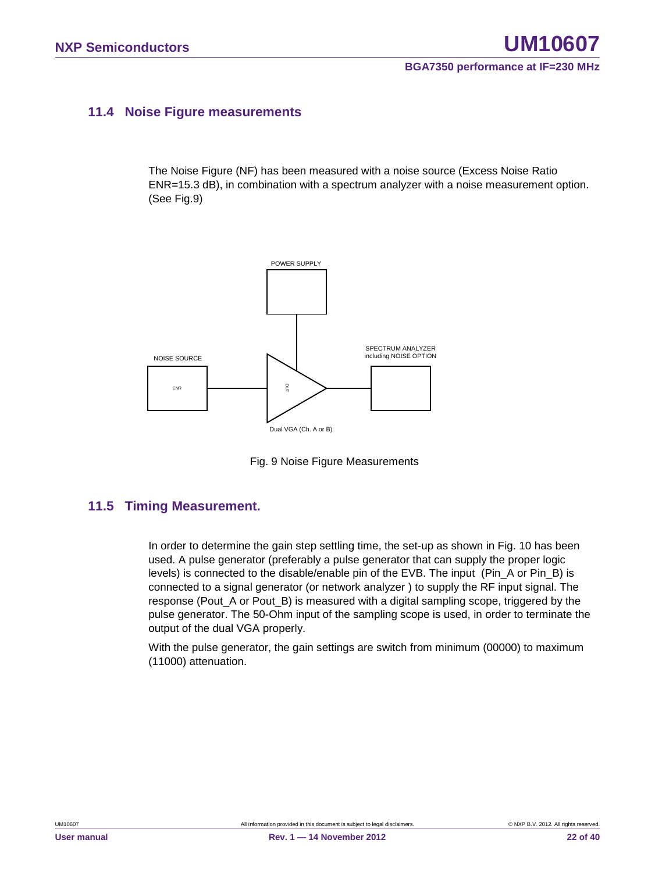#### <span id="page-21-0"></span>**11.4 Noise Figure measurements**

The Noise Figure (NF) has been measured with a noise source (Excess Noise Ratio ENR=15.3 dB), in combination with a spectrum analyzer with a noise measurement option. (See Fig.9)



Fig. 9 Noise Figure Measurements

#### <span id="page-21-1"></span>**11.5 Timing Measurement.**

In order to determine the gain step settling time, the set-up as shown in Fig. 10 has been used. A pulse generator (preferably a pulse generator that can supply the proper logic levels) is connected to the disable/enable pin of the EVB. The input (Pin\_A or Pin\_B) is connected to a signal generator (or network analyzer ) to supply the RF input signal. The response (Pout A or Pout B) is measured with a digital sampling scope, triggered by the pulse generator. The 50-Ohm input of the sampling scope is used, in order to terminate the output of the dual VGA properly.

With the pulse generator, the gain settings are switch from minimum (00000) to maximum (11000) attenuation.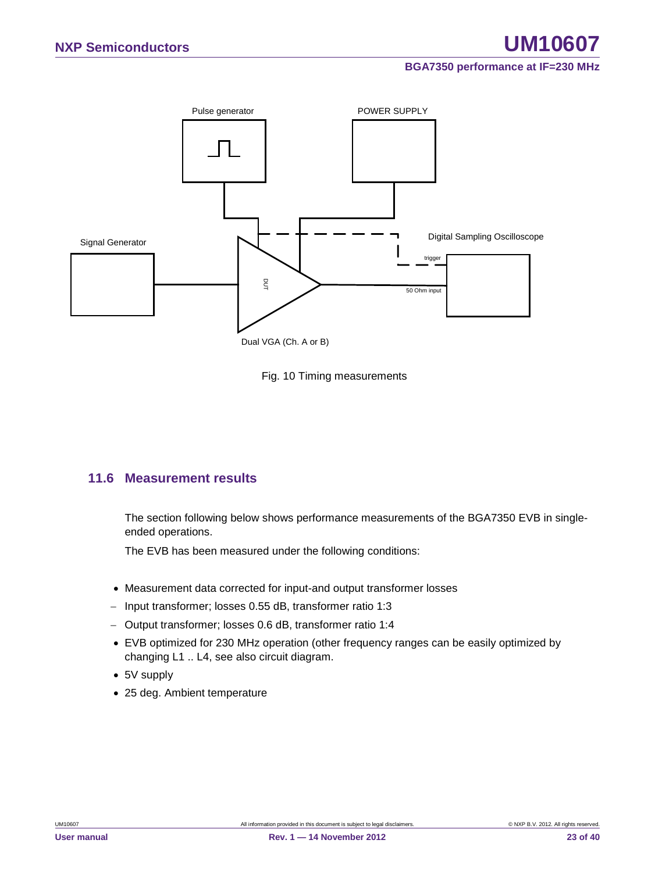



#### <span id="page-22-0"></span>**11.6 Measurement results**

The section following below shows performance measurements of the BGA7350 EVB in singleended operations.

The EVB has been measured under the following conditions:

- Measurement data corrected for input-and output transformer losses
- − Input transformer; losses 0.55 dB, transformer ratio 1:3
- − Output transformer; losses 0.6 dB, transformer ratio 1:4
- EVB optimized for 230 MHz operation (other frequency ranges can be easily optimized by changing L1 .. L4, see also circuit diagram.
- 5V supply
-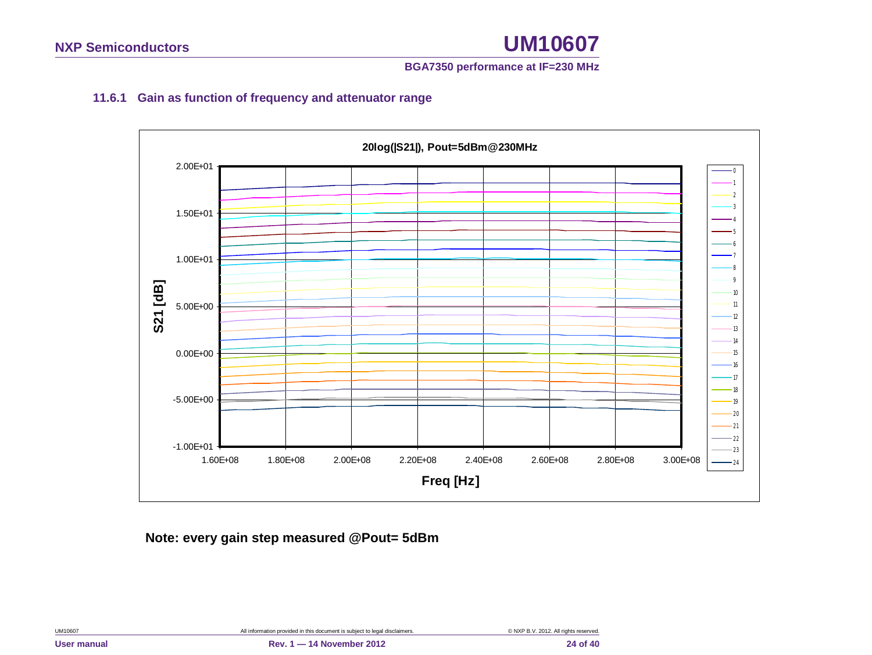#### **BGA7350 performance at IF=230 MHz**

### **11.6.1 Gain as function of frequency and attenuator range**

<span id="page-23-0"></span>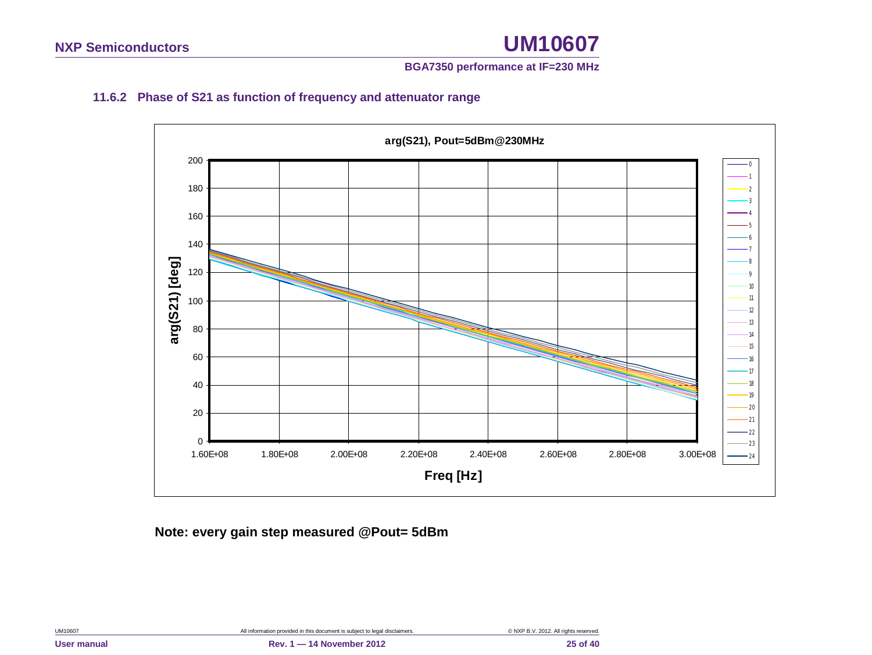#### **BGA7350 performance at IF=230 MHz**

### **11.6.2 Phase of S21 as function of frequency and attenuator range**

<span id="page-24-0"></span>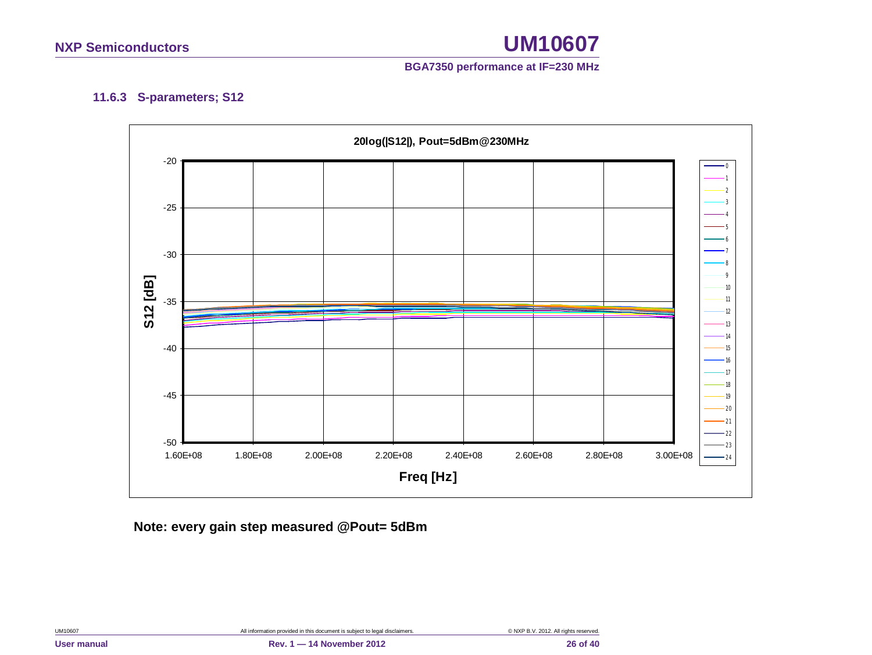

#### **11.6.3 S-parameters; S12**

<span id="page-25-0"></span>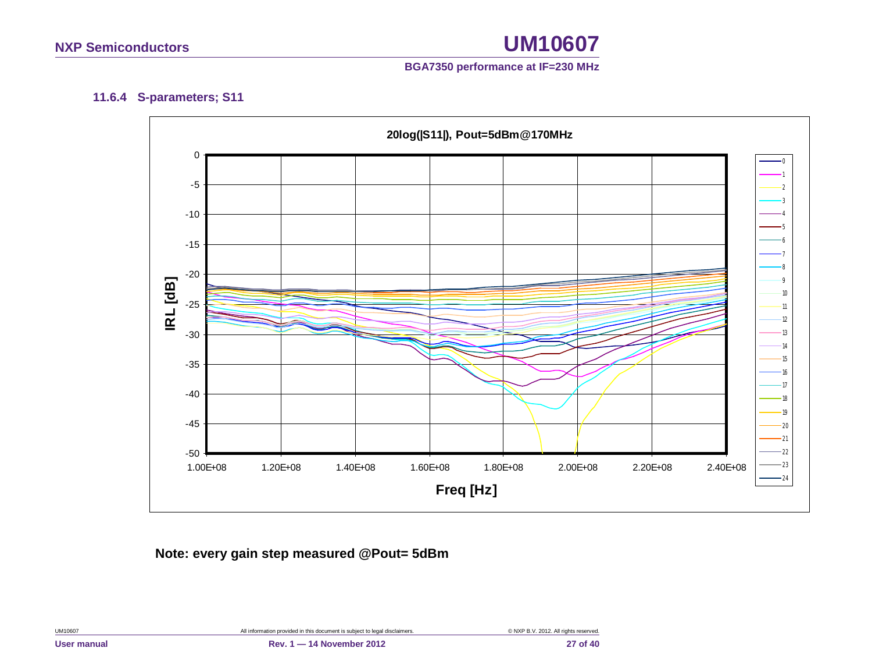

#### **11.6.4 S-parameters; S11**

<span id="page-26-0"></span>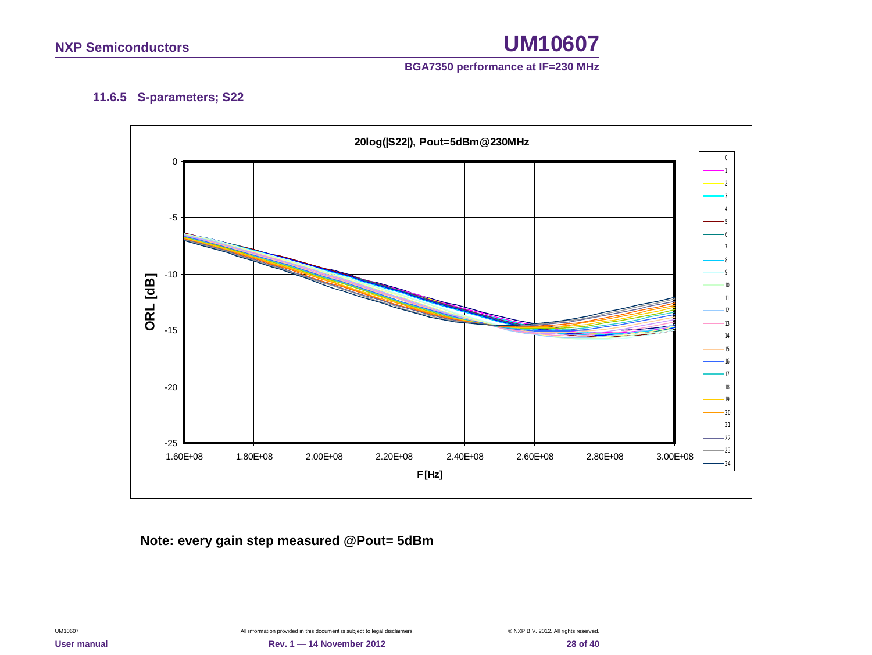

#### **11.6.5 S-parameters; S22**

<span id="page-27-0"></span>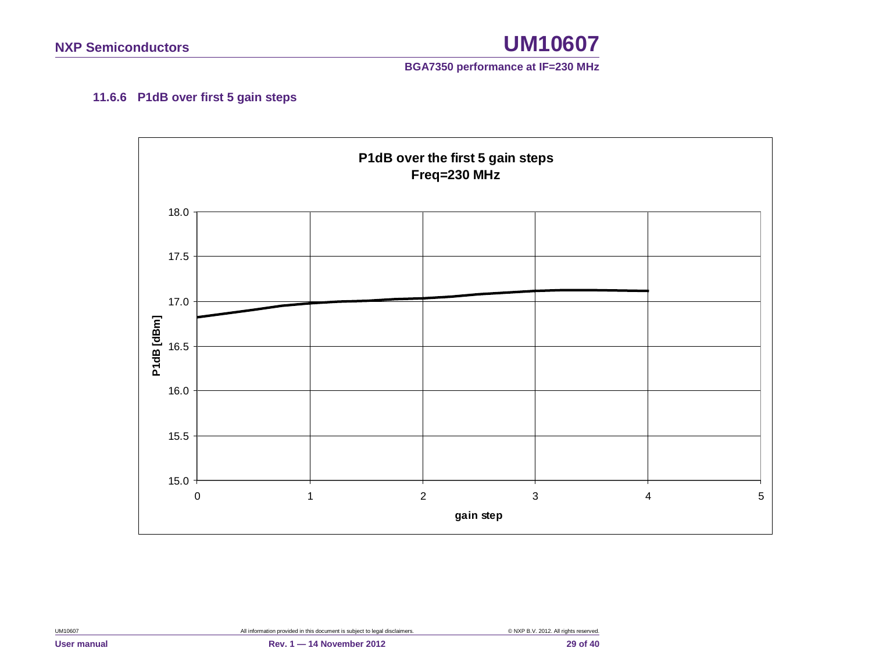

#### **11.6.6 P1dB over first 5 gain steps**

<span id="page-28-0"></span>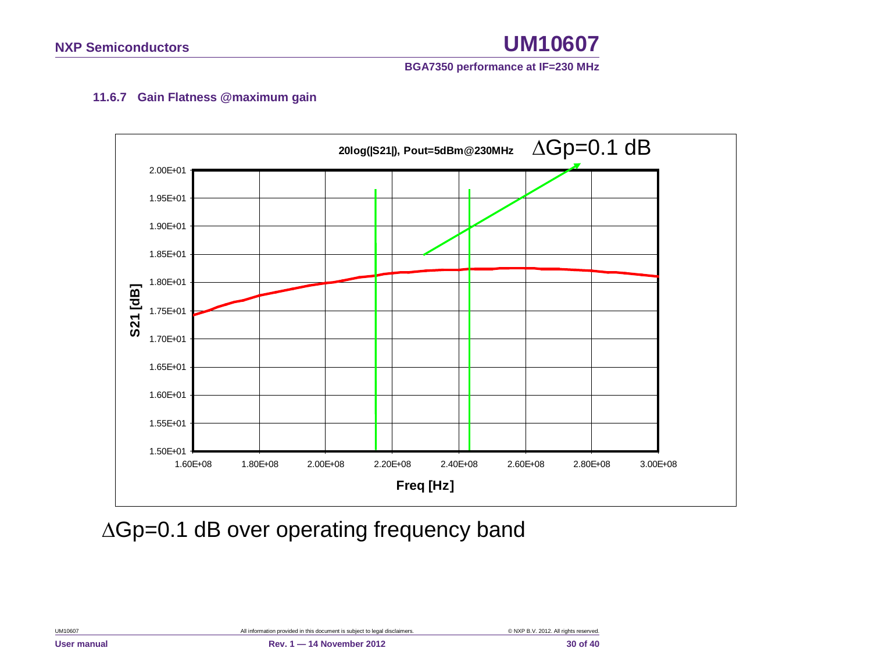

#### **11.6.7 Gain Flatness @maximum gain**

<span id="page-29-0"></span>

∆Gp=0.1 dB over operating frequency band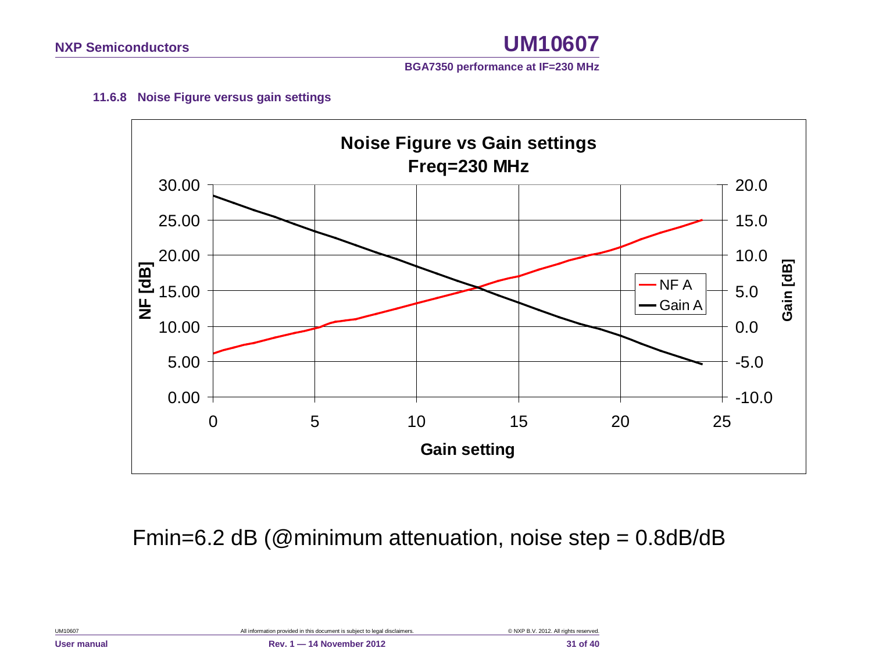

#### **11.6.8 Noise Figure versus gain settings**

<span id="page-30-0"></span>

Fmin=6.2 dB (@minimum attenuation, noise step = 0.8dB/dB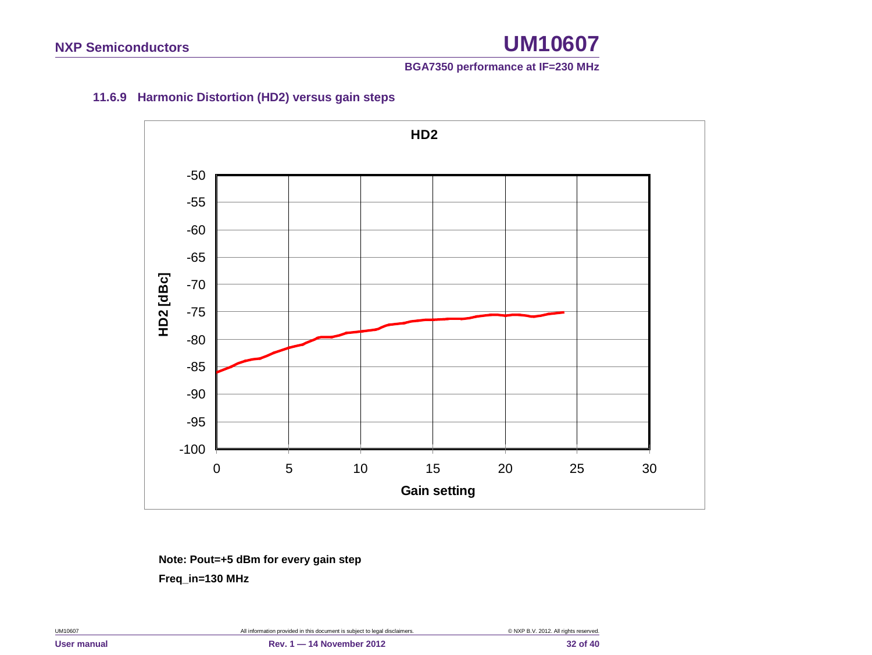#### **11.6.9 Harmonic Distortion (HD2) versus gain steps**

<span id="page-31-0"></span>

**Note: Pout=+5 dBm for every gain step**

 **Freq\_in=130 MHz**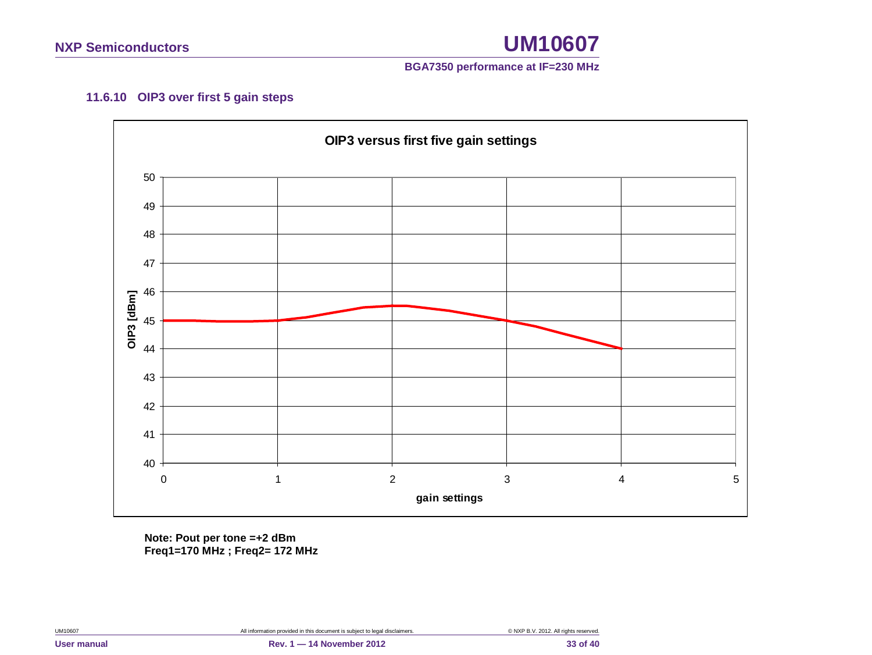

#### **11.6.10 OIP3 over first 5 gain steps**

<span id="page-32-0"></span>

**Note: Pout per tone =+2 dBm Freq1=170 MHz ; Freq2= 172 MHz**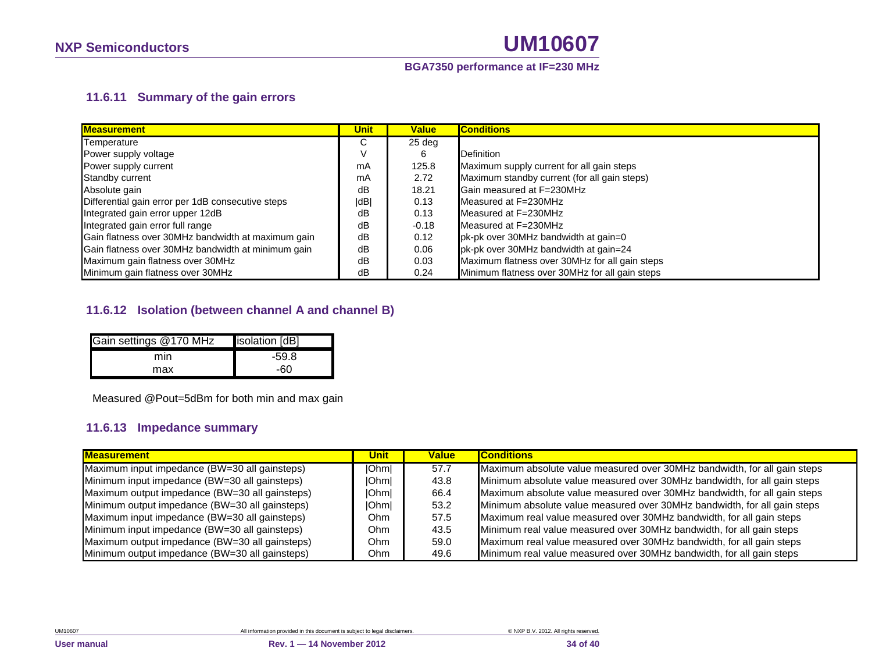#### **BGA7350 performance at IF=230 MHz**

#### **11.6.11 Summary of the gain errors**

| <b>Measurement</b>                                 | <b>Unit</b> | <b>Value</b> | <b>Conditions</b>                              |
|----------------------------------------------------|-------------|--------------|------------------------------------------------|
| Temperature                                        | U           | 25 deg       |                                                |
| Power supply voltage                               |             | 6            | <b>Definition</b>                              |
| Power supply current                               | mA          | 125.8        | Maximum supply current for all gain steps      |
| Standby current                                    | mA          | 2.72         | Maximum standby current (for all gain steps)   |
| Absolute gain                                      | dB          | 18.21        | Gain measured at F=230MHz                      |
| Differential gain error per 1dB consecutive steps  | dB          | 0.13         | Measured at F=230MHz                           |
| Integrated gain error upper 12dB                   | dB          | 0.13         | Measured at F=230MHz                           |
| Integrated gain error full range                   | dB          | $-0.18$      | Measured at F=230MHz                           |
| Gain flatness over 30MHz bandwidth at maximum gain | dB          | 0.12         | pk-pk over 30MHz bandwidth at gain=0           |
| Gain flatness over 30MHz bandwidth at minimum gain | dB          | 0.06         | pk-pk over 30MHz bandwidth at gain=24          |
| Maximum gain flatness over 30MHz                   | dB          | 0.03         | Maximum flatness over 30MHz for all gain steps |
| Minimum gain flatness over 30MHz                   | dB          | 0.24         | Minimum flatness over 30MHz for all gain steps |

#### <span id="page-33-0"></span>**11.6.12 Isolation (between channel A and channel B)**

| Gain settings @170 MHz | isolation [dB] |
|------------------------|----------------|
| mın                    | $-59.8$        |
| max                    | -60            |

Measured @Pout=5dBm for both min and max gain

#### **11.6.13 Impedance summary**

<span id="page-33-1"></span>

| <b>Measurement</b>                             | Unitl | <b>Value</b> | <b>Conditions</b>                                                        |
|------------------------------------------------|-------|--------------|--------------------------------------------------------------------------|
| Maximum input impedance (BW=30 all gainsteps)  | Ohml  | 57.7         | Maximum absolute value measured over 30MHz bandwidth, for all gain steps |
| Minimum input impedance (BW=30 all gainsteps)  | lOhml | 43.8         | Minimum absolute value measured over 30MHz bandwidth, for all gain steps |
| Maximum output impedance (BW=30 all gainsteps) | Ohm   | 66.4         | Maximum absolute value measured over 30MHz bandwidth, for all gain steps |
| Minimum output impedance (BW=30 all gainsteps) | Ohm   | 53.2         | Minimum absolute value measured over 30MHz bandwidth, for all gain steps |
| Maximum input impedance (BW=30 all gainsteps)  | Ohm.  | 57.5         | Maximum real value measured over 30MHz bandwidth, for all gain steps     |
| Minimum input impedance (BW=30 all gainsteps)  | Ohm   | 43.5         | Minimum real value measured over 30MHz bandwidth, for all gain steps     |
| Maximum output impedance (BW=30 all gainsteps) | Ohm   | 59.0         | Maximum real value measured over 30MHz bandwidth, for all gain steps     |
| Minimum output impedance (BW=30 all gainsteps) | Ohm   | 49.6         | Minimum real value measured over 30MHz bandwidth, for all gain steps     |

<span id="page-33-2"></span>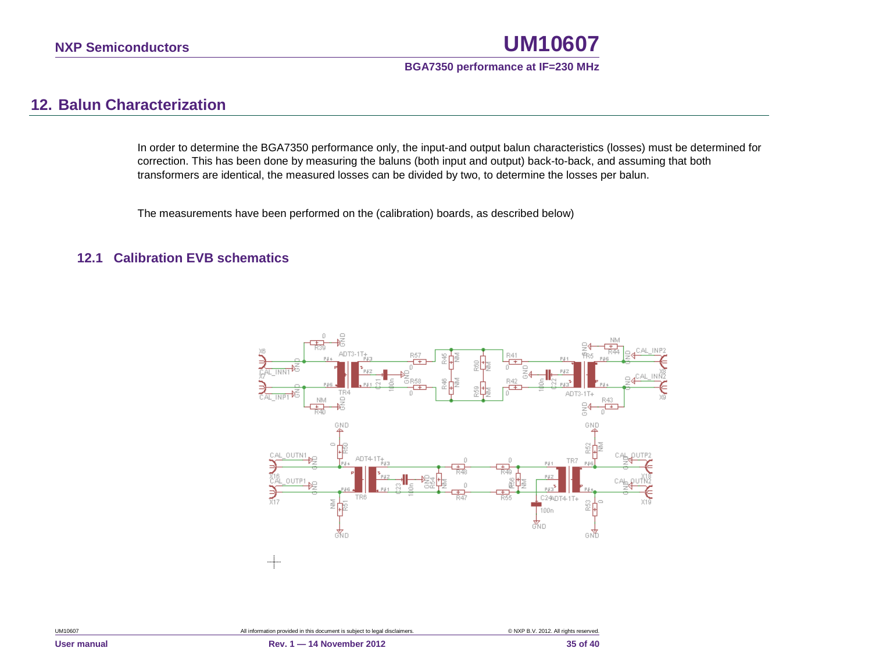

# **12. Balun Characterization**

In order to determine the BGA7350 performance only, the input-and output balun characteristics (losses) must be determined for correction. This has been done by measuring the baluns (both input and output) back-to-back, and assuming that both transformers are identical, the measured losses can be divided by two, to determine the losses per balun.

The measurements have been performed on the (calibration) boards, as described below)

#### <span id="page-34-1"></span><span id="page-34-0"></span>**12.1 Calibration EVB schematics**

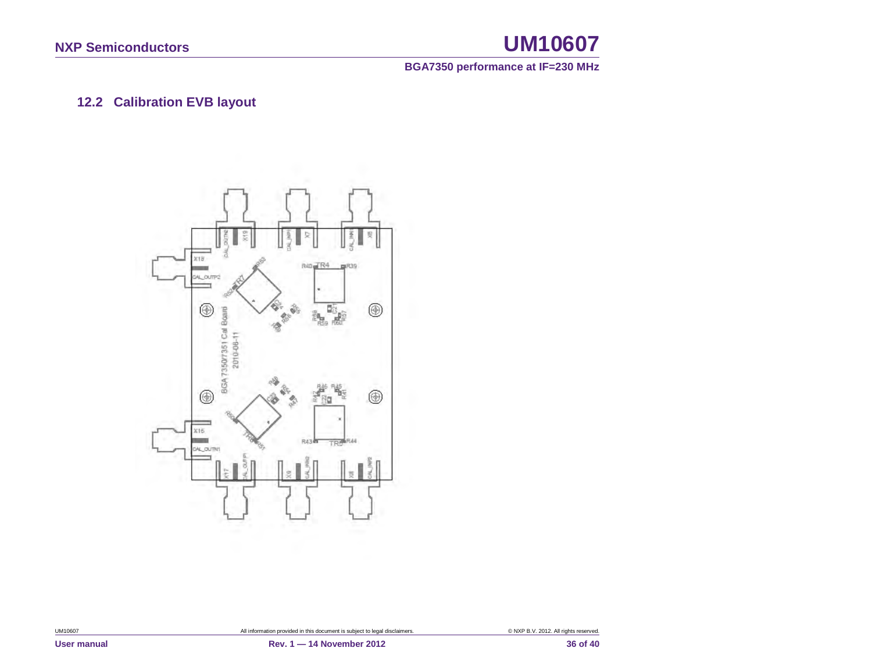**BGA7350 performance at IF=230 MHz**

# **12.2 Calibration EVB layout**

<span id="page-35-0"></span>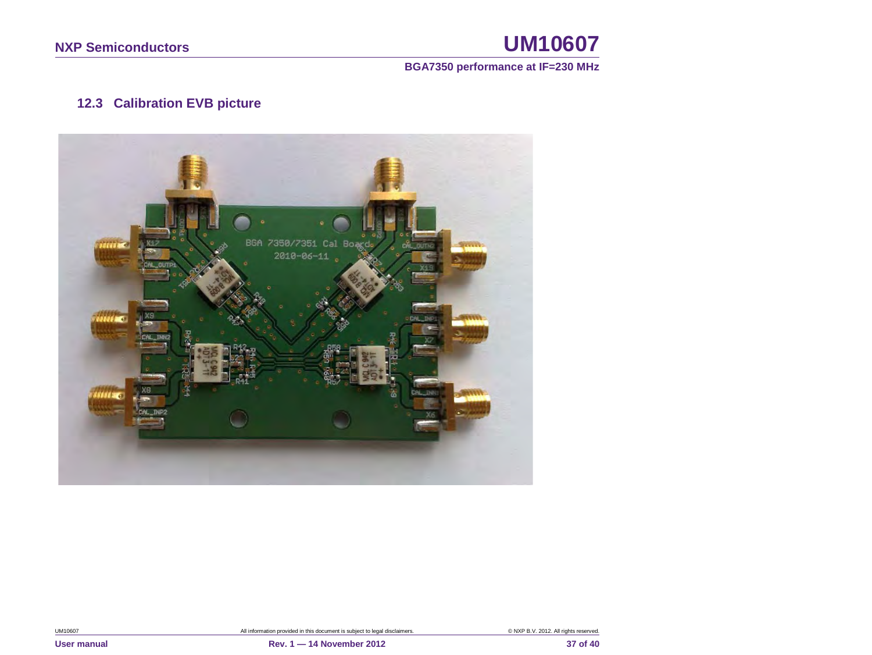#### **BGA7350 performance at IF=230 MHz**

# **12.3 Calibration EVB picture**

<span id="page-36-0"></span>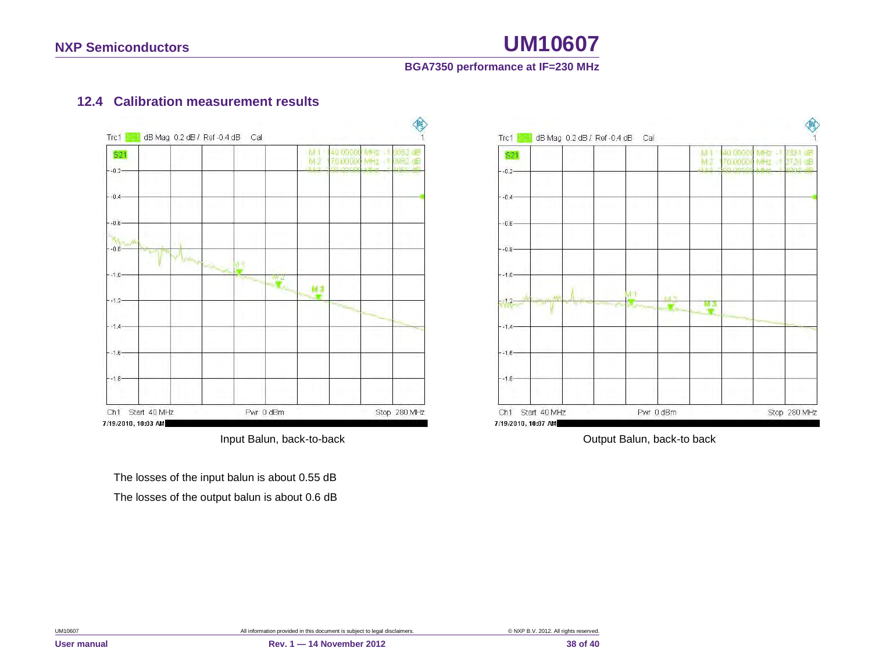#### **BGA7350 performance at IF=230 MHz**

### **12.4 Calibration measurement results**



<span id="page-37-0"></span>The losses of the input balun is about 0.55 dB The losses of the output balun is about 0.6 dB



Input Balun, back-to-back **Input Balun**, back-to back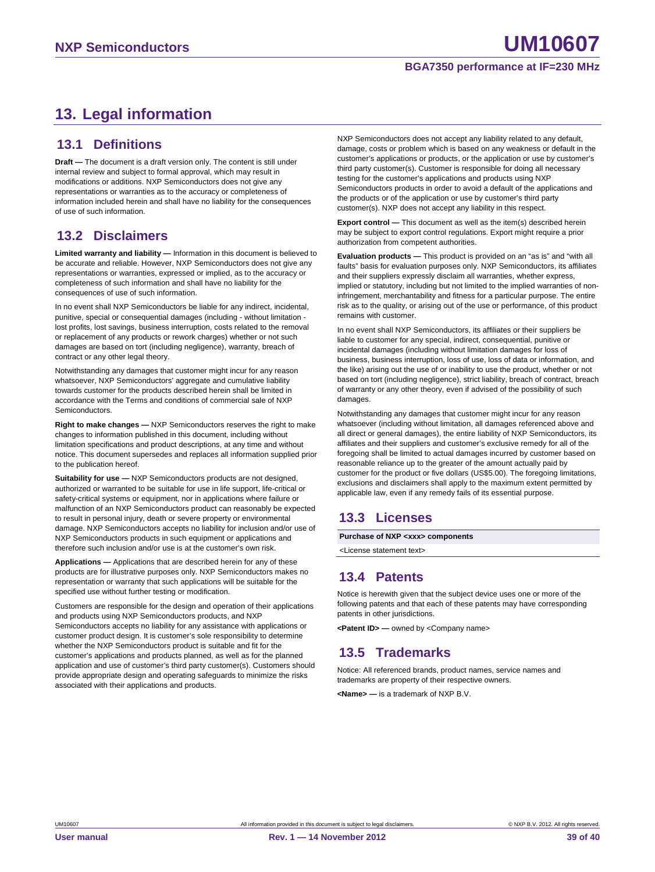# <span id="page-38-0"></span>**13. Legal information**

#### <span id="page-38-1"></span>**13.1 Definitions**

**Draft —** The document is a draft version only. The content is still under internal review and subject to formal approval, which may result in modifications or additions. NXP Semiconductors does not give any representations or warranties as to the accuracy or completeness of information included herein and shall have no liability for the consequences of use of such information.

#### <span id="page-38-2"></span>**13.2 Disclaimers**

**Limited warranty and liability —** Information in this document is believed to be accurate and reliable. However, NXP Semiconductors does not give any representations or warranties, expressed or implied, as to the accuracy or completeness of such information and shall have no liability for the consequences of use of such information.

In no event shall NXP Semiconductors be liable for any indirect, incidental, punitive, special or consequential damages (including - without limitation lost profits, lost savings, business interruption, costs related to the removal or replacement of any products or rework charges) whether or not such damages are based on tort (including negligence), warranty, breach of contract or any other legal theory.

Notwithstanding any damages that customer might incur for any reason whatsoever, NXP Semiconductors' aggregate and cumulative liability towards customer for the products described herein shall be limited in accordance with the Terms and conditions of commercial sale of NXP Semiconductors.

**Right to make changes —** NXP Semiconductors reserves the right to make changes to information published in this document, including without limitation specifications and product descriptions, at any time and without notice. This document supersedes and replaces all information supplied prior to the publication hereof.

**Suitability for use —** NXP Semiconductors products are not designed, authorized or warranted to be suitable for use in life support, life-critical or safety-critical systems or equipment, nor in applications where failure or malfunction of an NXP Semiconductors product can reasonably be expected to result in personal injury, death or severe property or environmental damage. NXP Semiconductors accepts no liability for inclusion and/or use of NXP Semiconductors products in such equipment or applications and therefore such inclusion and/or use is at the customer's own risk.

**Applications —** Applications that are described herein for any of these products are for illustrative purposes only. NXP Semiconductors makes no representation or warranty that such applications will be suitable for the specified use without further testing or modification.

Customers are responsible for the design and operation of their applications and products using NXP Semiconductors products, and NXP Semiconductors accepts no liability for any assistance with applications or customer product design. It is customer's sole responsibility to determine whether the NXP Semiconductors product is suitable and fit for the customer's applications and products planned, as well as for the planned application and use of customer's third party customer(s). Customers should provide appropriate design and operating safeguards to minimize the risks associated with their applications and products.

NXP Semiconductors does not accept any liability related to any default, damage, costs or problem which is based on any weakness or default in the customer's applications or products, or the application or use by customer's third party customer(s). Customer is responsible for doing all necessary testing for the customer's applications and products using NXP Semiconductors products in order to avoid a default of the applications and the products or of the application or use by customer's third party customer(s). NXP does not accept any liability in this respect.

**Export control —** This document as well as the item(s) described herein may be subject to export control regulations. Export might require a prior authorization from competent authorities.

**Evaluation products —** This product is provided on an "as is" and "with all faults" basis for evaluation purposes only. NXP Semiconductors, its affiliates and their suppliers expressly disclaim all warranties, whether express, implied or statutory, including but not limited to the implied warranties of noninfringement, merchantability and fitness for a particular purpose. The entire risk as to the quality, or arising out of the use or performance, of this product remains with customer.

In no event shall NXP Semiconductors, its affiliates or their suppliers be liable to customer for any special, indirect, consequential, punitive or incidental damages (including without limitation damages for loss of business, business interruption, loss of use, loss of data or information, and the like) arising out the use of or inability to use the product, whether or not based on tort (including negligence), strict liability, breach of contract, breach of warranty or any other theory, even if advised of the possibility of such damages

Notwithstanding any damages that customer might incur for any reason whatsoever (including without limitation, all damages referenced above and all direct or general damages), the entire liability of NXP Semiconductors, its affiliates and their suppliers and customer's exclusive remedy for all of the foregoing shall be limited to actual damages incurred by customer based on reasonable reliance up to the greater of the amount actually paid by customer for the product or five dollars (US\$5.00). The foregoing limitations, exclusions and disclaimers shall apply to the maximum extent permitted by applicable law, even if any remedy fails of its essential purpose.

#### <span id="page-38-3"></span>**13.3 Licenses**

**Purchase of NXP <xxx> components**

<span id="page-38-4"></span><License statement text>

## **13.4 Patents**

Notice is herewith given that the subject device uses one or more of the following patents and that each of these patents may have corresponding patents in other jurisdictions.

<span id="page-38-5"></span>**<Patent ID> —** owned by <Company name>

## **13.5 Trademarks**

Notice: All referenced brands, product names, service names and trademarks are property of their respective owners.

**<Name> —** is a trademark of NXP B.V.